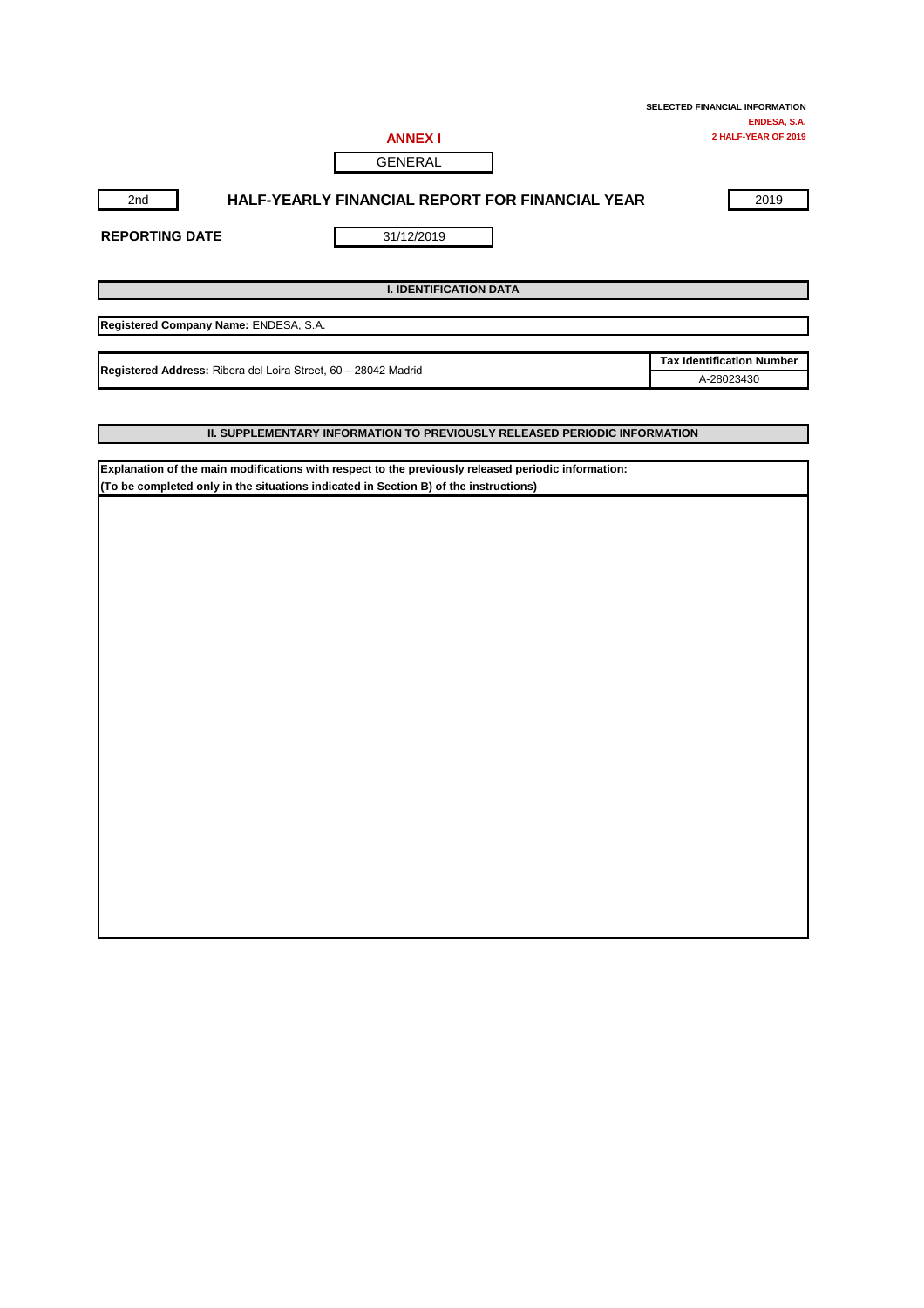| <b>ANNEX I</b> |  |
|----------------|--|
| GENERAL        |  |

## 2nd **HALF-YEARLY FINANCIAL REPORT FOR FINANCIAL YEAR** 2019

**REPORTING DATE**

31/12/2019

**I. IDENTIFICATION DATA**

**Registered Company Name:** ENDESA, S.A.

**Registered Address:** Ribera del Loira Street, 60 – 28042 Madrid

**Tax Identification Number** A-28023430

#### **II. SUPPLEMENTARY INFORMATION TO PREVIOUSLY RELEASED PERIODIC INFORMATION**

**Explanation of the main modifications with respect to the previously released periodic information: (To be completed only in the situations indicated in Section B) of the instructions)**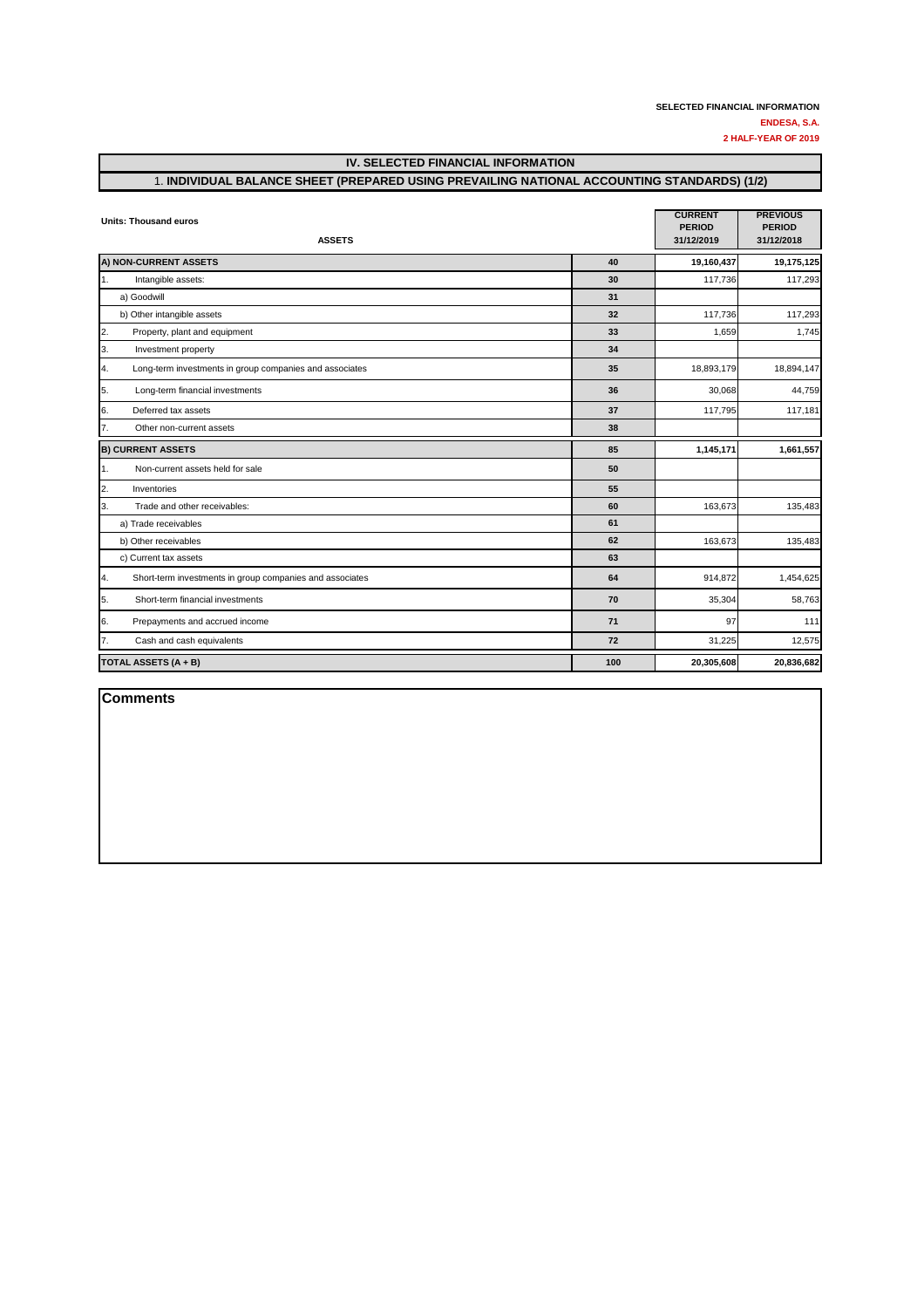# **IV. SELECTED FINANCIAL INFORMATION** 1. **INDIVIDUAL BALANCE SHEET (PREPARED USING PREVAILING NATIONAL ACCOUNTING STANDARDS) (1/2)**

| <b>Units: Thousand euros</b>                                   | <b>CURRENT</b><br><b>PERIOD</b> | <b>PREVIOUS</b><br><b>PERIOD</b> |            |
|----------------------------------------------------------------|---------------------------------|----------------------------------|------------|
| <b>ASSETS</b>                                                  |                                 | 31/12/2019                       | 31/12/2018 |
| A) NON-CURRENT ASSETS                                          | 40                              | 19,160,437                       | 19,175,125 |
| 1.<br>Intangible assets:                                       | 30                              | 117,736                          | 117,293    |
| a) Goodwill                                                    | 31                              |                                  |            |
| b) Other intangible assets                                     | 32                              | 117,736                          | 117,293    |
| 2.<br>Property, plant and equipment                            | 33                              | 1,659                            | 1,745      |
| 3.<br>Investment property                                      | 34                              |                                  |            |
| 4.<br>Long-term investments in group companies and associates  | 35                              | 18,893,179                       | 18,894,147 |
| 5.<br>Long-term financial investments                          | 36                              | 30,068                           | 44,759     |
| 6.<br>Deferred tax assets                                      | 37                              | 117,795                          | 117,181    |
| 7.<br>Other non-current assets                                 | 38                              |                                  |            |
| <b>B) CURRENT ASSETS</b>                                       | 85                              | 1,145,171                        | 1,661,557  |
| 1.<br>Non-current assets held for sale                         | 50                              |                                  |            |
| 2.<br>Inventories                                              | 55                              |                                  |            |
| 3.<br>Trade and other receivables:                             | 60                              | 163,673                          | 135,483    |
| a) Trade receivables                                           | 61                              |                                  |            |
| b) Other receivables                                           | 62                              | 163,673                          | 135,483    |
| c) Current tax assets                                          | 63                              |                                  |            |
| 4.<br>Short-term investments in group companies and associates | 64                              | 914,872                          | 1,454,625  |
| 5.<br>Short-term financial investments                         | 70                              | 35,304                           | 58,763     |
| 6.<br>Prepayments and accrued income                           | 71                              | 97                               | 111        |
| 7.<br>Cash and cash equivalents                                | 72                              | 31,225                           | 12,575     |
| TOTAL ASSETS (A + B)                                           | 100                             | 20,305,608                       | 20,836,682 |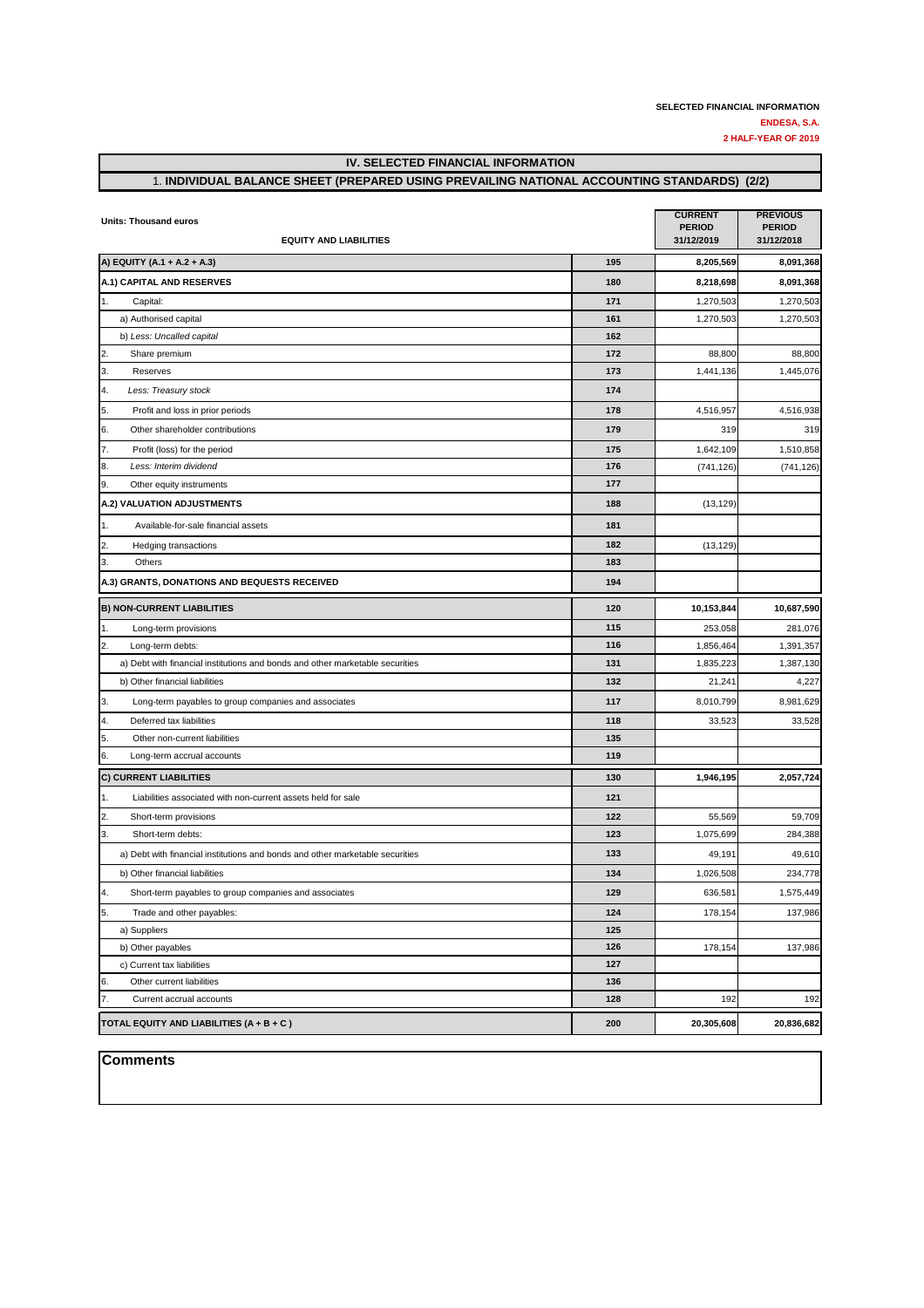## **IV. SELECTED FINANCIAL INFORMATION**

## 1. **INDIVIDUAL BALANCE SHEET (PREPARED USING PREVAILING NATIONAL ACCOUNTING STANDARDS) (2/2)**

| <b>Units: Thousand euros</b><br><b>EQUITY AND LIABILITIES</b>                 | <b>CURRENT</b><br><b>PERIOD</b><br>31/12/2019 | <b>PREVIOUS</b><br><b>PERIOD</b><br>31/12/2018 |            |
|-------------------------------------------------------------------------------|-----------------------------------------------|------------------------------------------------|------------|
| A) EQUITY (A.1 + A.2 + A.3)                                                   | 195                                           | 8,205,569                                      | 8,091,368  |
| A.1) CAPITAL AND RESERVES                                                     | 180                                           | 8,218,698                                      | 8,091,368  |
| 1.<br>Capital:                                                                | 171                                           | 1,270,503                                      | 1,270,503  |
| a) Authorised capital                                                         | 161                                           | 1,270,503                                      | 1,270,503  |
| b) Less: Uncalled capital                                                     | 162                                           |                                                |            |
| 2.<br>Share premium                                                           | 172                                           | 88,800                                         | 88,800     |
| 3.<br>Reserves                                                                | 173                                           | 1,441,136                                      | 1,445,076  |
| 4.<br>Less: Treasury stock                                                    | 174                                           |                                                |            |
| 5.<br>Profit and loss in prior periods                                        | 178                                           | 4,516,957                                      | 4,516,938  |
| 6.<br>Other shareholder contributions                                         | 179                                           | 319                                            | 319        |
| 7.<br>Profit (loss) for the period                                            | 175                                           | 1,642,109                                      | 1,510,858  |
| 8.<br>Less: Interim dividend                                                  | 176                                           | (741, 126)                                     | (741, 126) |
| 9.<br>Other equity instruments                                                | 177                                           |                                                |            |
| A.2) VALUATION ADJUSTMENTS                                                    | 188                                           | (13, 129)                                      |            |
| 1.<br>Available-for-sale financial assets                                     | 181                                           |                                                |            |
| 2.<br>Hedging transactions                                                    | 182                                           | (13, 129)                                      |            |
| 3.<br>Others                                                                  | 183                                           |                                                |            |
| A.3) GRANTS, DONATIONS AND BEQUESTS RECEIVED                                  | 194                                           |                                                |            |
| <b>B) NON-CURRENT LIABILITIES</b>                                             | 120                                           | 10,153,844                                     | 10,687,590 |
| 1.<br>Long-term provisions                                                    | 115                                           | 253,058                                        | 281,076    |
| 2.<br>Long-term debts:                                                        | 116                                           | 1,856,464                                      | 1,391,357  |
| a) Debt with financial institutions and bonds and other marketable securities | 131                                           | 1,835,223                                      | 1,387,130  |
| b) Other financial liabilities                                                | 132                                           | 21,241                                         | 4,227      |
| 3.<br>Long-term payables to group companies and associates                    | 117                                           | 8,010,799                                      | 8,981,629  |
| 4.<br>Deferred tax liabilities                                                | 118                                           | 33,523                                         | 33,528     |
| 5.<br>Other non-current liabilities                                           | 135                                           |                                                |            |
| 6.<br>Long-term accrual accounts                                              | 119                                           |                                                |            |
| <b>C) CURRENT LIABILITIES</b>                                                 | 130                                           | 1,946,195                                      | 2,057,724  |
| 1.<br>Liabilities associated with non-current assets held for sale            | 121                                           |                                                |            |
| 2.<br>Short-term provisions                                                   | 122                                           | 55,569                                         | 59,709     |
| 3.<br>Short-term debts:                                                       | 123                                           | 1,075,699                                      | 284,388    |
| a) Debt with financial institutions and bonds and other marketable securities | 133                                           | 49,191                                         | 49,610     |
| b) Other financial liabilities                                                | 134                                           | 1,026,508                                      | 234,778    |
| 4.<br>Short-term payables to group companies and associates                   | 129                                           | 636,581                                        | 1,575,449  |
| 5.<br>Trade and other payables:                                               | 124                                           | 178,154                                        | 137,986    |
| a) Suppliers                                                                  | 125                                           |                                                |            |
| b) Other payables                                                             | 126                                           | 178,154                                        | 137,986    |
| c) Current tax liabilities                                                    | 127                                           |                                                |            |
| Other current liabilities<br>6.                                               | 136                                           |                                                |            |
| 7.<br>Current accrual accounts                                                | 128                                           | 192                                            | 192        |
| TOTAL EQUITY AND LIABILITIES $(A + B + C)$                                    | 200                                           | 20,305,608                                     | 20,836,682 |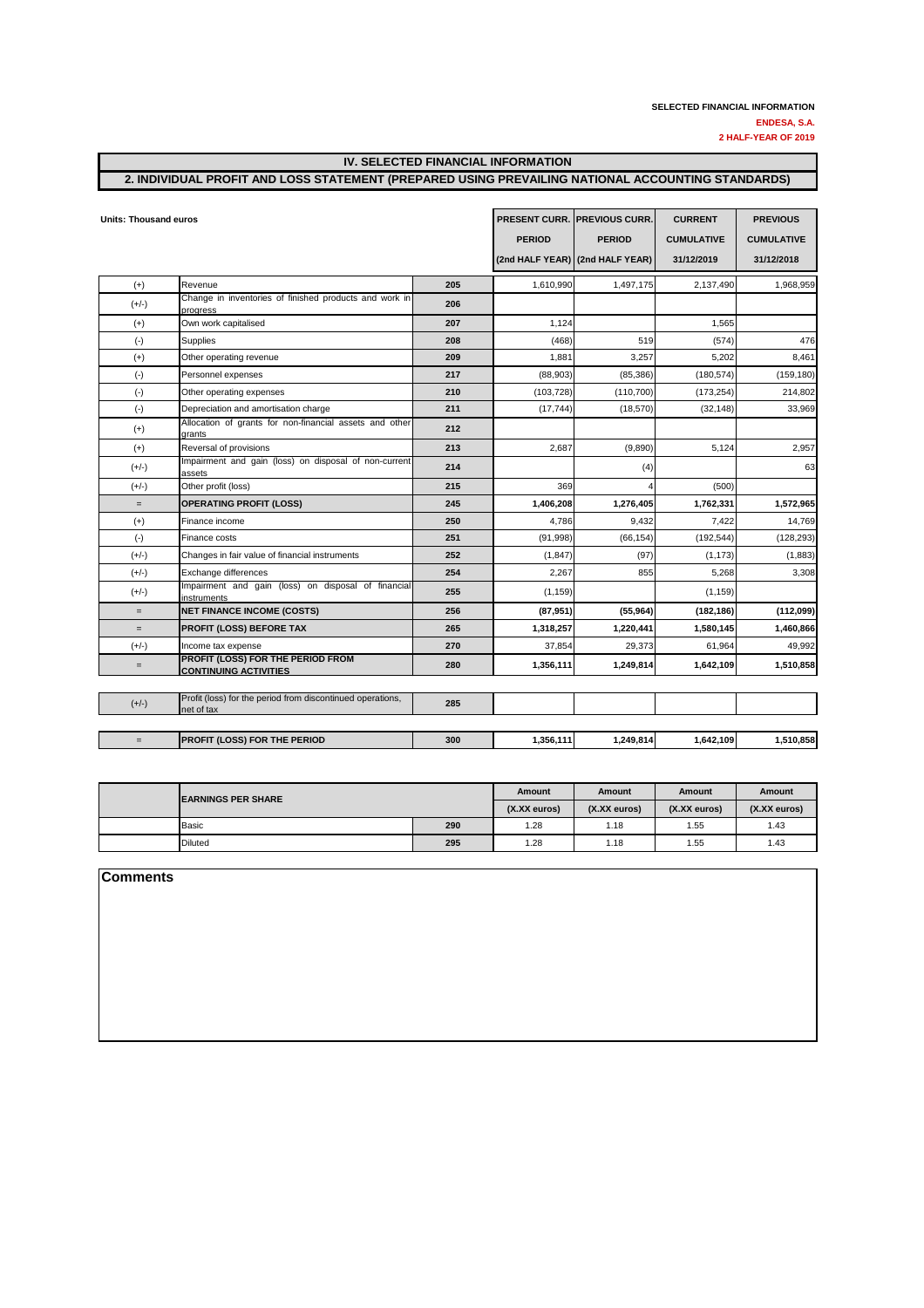#### **IV. SELECTED FINANCIAL INFORMATION**

### **2. INDIVIDUAL PROFIT AND LOSS STATEMENT (PREPARED USING PREVAILING NATIONAL ACCOUNTING STANDARDS)**

| <b>Units: Thousand euros</b> |                                                                          |     | <b>PRESENT CURR. PREVIOUS CURR.</b> | <b>CURRENT</b>                  | <b>PREVIOUS</b>   |                   |
|------------------------------|--------------------------------------------------------------------------|-----|-------------------------------------|---------------------------------|-------------------|-------------------|
|                              |                                                                          |     | <b>PERIOD</b>                       | <b>PERIOD</b>                   | <b>CUMULATIVE</b> | <b>CUMULATIVE</b> |
|                              |                                                                          |     |                                     | (2nd HALF YEAR) (2nd HALF YEAR) | 31/12/2019        | 31/12/2018        |
| $(+)$                        | Revenue                                                                  | 205 | 1,610,990                           | 1,497,175                       | 2,137,490         | 1,968,959         |
| $(+/-)$                      | Change in inventories of finished products and work in<br>progress       | 206 |                                     |                                 |                   |                   |
| $(+)$                        | Own work capitalised                                                     | 207 | 1,124                               |                                 | 1,565             |                   |
| $(-)$                        | Supplies                                                                 | 208 | (468)                               | 519                             | (574)             | 476               |
| $(+)$                        | Other operating revenue                                                  | 209 | 1,881                               | 3,257                           | 5,202             | 8,461             |
| $(\cdot)$                    | Personnel expenses                                                       | 217 | (88,903)                            | (85, 386)                       | (180, 574)        | (159, 180)        |
| $(-)$                        | Other operating expenses                                                 | 210 | (103, 728)                          | (110, 700)                      | (173, 254)        | 214,802           |
| $(\cdot)$                    | Depreciation and amortisation charge                                     | 211 | (17, 744)                           | (18, 570)                       | (32, 148)         | 33,969            |
| $(+)$                        | Allocation of grants for non-financial assets and other<br>grants        | 212 |                                     |                                 |                   |                   |
| $(+)$                        | Reversal of provisions                                                   | 213 | 2,687                               | (9,890)                         | 5,124             | 2,957             |
| $(+/-)$                      | Impairment and gain (loss) on disposal of non-current<br>assets          | 214 |                                     | (4)                             |                   | 63                |
| $(+/-)$                      | Other profit (loss)                                                      | 215 | 369                                 |                                 | (500)             |                   |
| $=$                          | <b>OPERATING PROFIT (LOSS)</b>                                           | 245 | 1,406,208                           | 1,276,405                       | 1,762,331         | 1,572,965         |
| $(+)$                        | Finance income                                                           | 250 | 4,786                               | 9,432                           | 7,422             | 14,769            |
| $(\cdot)$                    | Finance costs                                                            | 251 | (91, 998)                           | (66, 154)                       | (192, 544)        | (128, 293)        |
| $(+/-)$                      | Changes in fair value of financial instruments                           | 252 | (1, 847)                            | (97)                            | (1, 173)          | (1,883)           |
| $(+/-)$                      | Exchange differences                                                     | 254 | 2,267                               | 855                             | 5,268             | 3,308             |
| $(+/-)$                      | Impairment and gain (loss) on disposal of financial<br>instruments       | 255 | (1, 159)                            |                                 | (1, 159)          |                   |
| $=$                          | <b>NET FINANCE INCOME (COSTS)</b>                                        | 256 | (87, 951)                           | (55, 964)                       | (182, 186)        | (112,099)         |
| $=$                          | PROFIT (LOSS) BEFORE TAX                                                 | 265 | 1,318,257                           | 1,220,441                       | 1,580,145         | 1,460,866         |
| $(+/-)$                      | Income tax expense                                                       | 270 | 37,854                              | 29,373                          | 61,964            | 49,992            |
| $=$                          | PROFIT (LOSS) FOR THE PERIOD FROM<br><b>CONTINUING ACTIVITIES</b>        | 280 | 1,356,111                           | 1,249,814                       | 1,642,109         | 1,510,858         |
|                              |                                                                          |     |                                     |                                 |                   |                   |
| $(+/-)$                      | Profit (loss) for the period from discontinued operations,<br>net of tax | 285 |                                     |                                 |                   |                   |
| $=$                          | PROFIT (LOSS) FOR THE PERIOD                                             | 300 | 1,356,111                           | 1,249,814                       | 1,642,109         | 1,510,858         |

| <b>IEARNINGS PER SHARE</b> |                | Amount | <b>Amount</b>   | Amount          | Amount       |                 |
|----------------------------|----------------|--------|-----------------|-----------------|--------------|-----------------|
|                            |                |        | $(X,XX)$ euros) | $(X.XX)$ euros) | (X.XX euros) | $(X.XX)$ euros) |
|                            | <b>Basic</b>   | 290    | i .28           | 1.18            | .55          | 1.43            |
|                            | <b>Diluted</b> | 295    | 1.28            | 1.18            | 1.55         | 1.43            |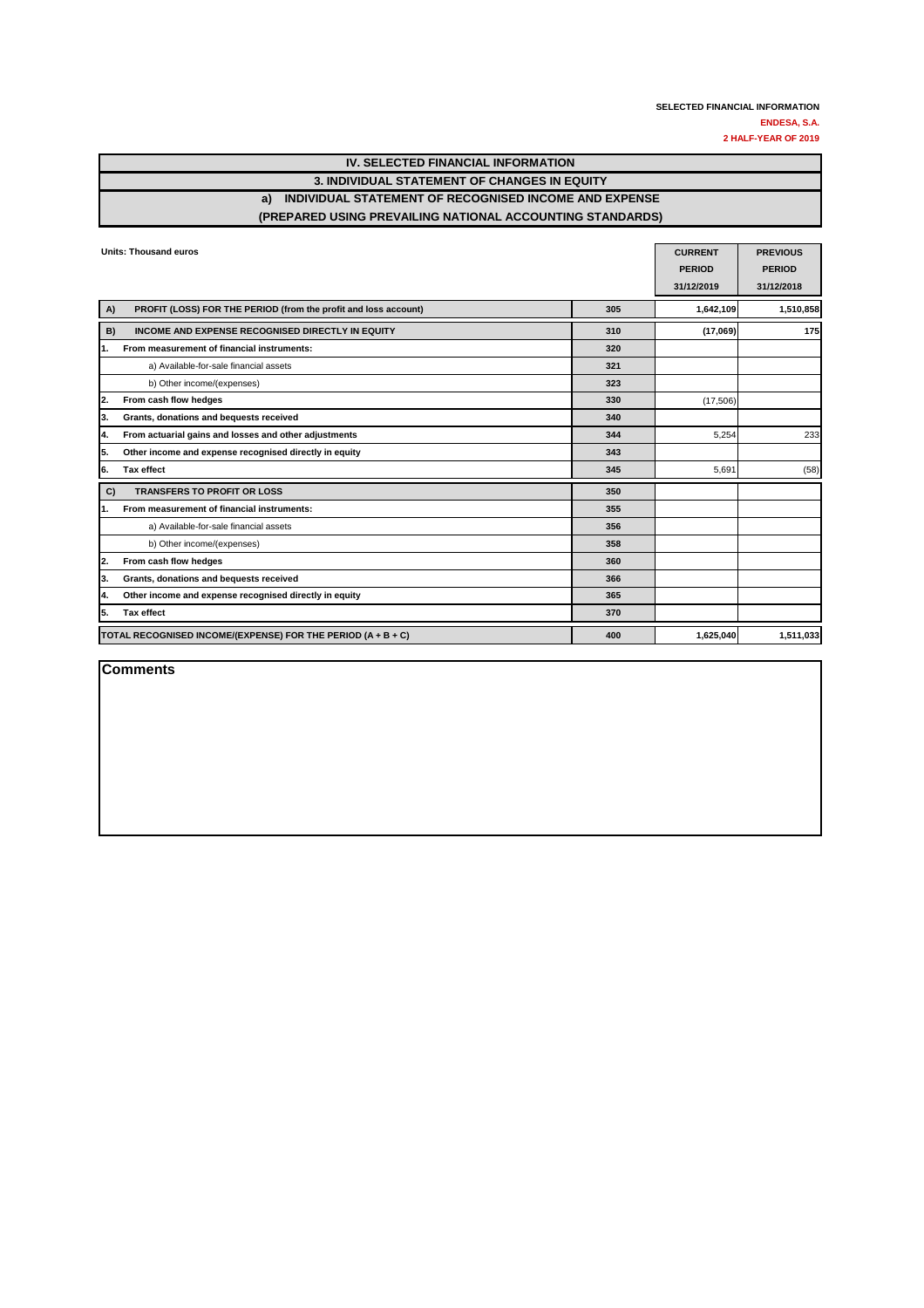| IV. SELECTED FINANCIAL INFORMATION                        |
|-----------------------------------------------------------|
| 3. INDIVIDUAL STATEMENT OF CHANGES IN EQUITY              |
| a) INDIVIDUAL STATEMENT OF RECOGNISED INCOME AND EXPENSE  |
| (PREPARED USING PREVAILING NATIONAL ACCOUNTING STANDARDS) |

| <b>Units: Thousand euros</b>                                          | <b>CURRENT</b> | <b>PREVIOUS</b> |               |
|-----------------------------------------------------------------------|----------------|-----------------|---------------|
|                                                                       |                | <b>PERIOD</b>   | <b>PERIOD</b> |
|                                                                       |                | 31/12/2019      | 31/12/2018    |
| PROFIT (LOSS) FOR THE PERIOD (from the profit and loss account)<br>A) | 305            | 1,642,109       | 1,510,858     |
| INCOME AND EXPENSE RECOGNISED DIRECTLY IN EQUITY<br>B)                | 310            | (17,069)        | 175           |
| From measurement of financial instruments:<br>1.                      | 320            |                 |               |
| a) Available-for-sale financial assets                                | 321            |                 |               |
| b) Other income/(expenses)                                            | 323            |                 |               |
| From cash flow hedges<br>2.                                           | 330            | (17,506)        |               |
| Grants, donations and bequests received<br>3.                         | 340            |                 |               |
| From actuarial gains and losses and other adjustments<br>4.           | 344            | 5,254           | 233           |
| 5.<br>Other income and expense recognised directly in equity          | 343            |                 |               |
| 6.<br><b>Tax effect</b>                                               | 345            | 5,691           | (58)          |
| <b>TRANSFERS TO PROFIT OR LOSS</b><br>C)                              | 350            |                 |               |
| From measurement of financial instruments:<br>1.                      | 355            |                 |               |
| a) Available-for-sale financial assets                                | 356            |                 |               |
| b) Other income/(expenses)                                            | 358            |                 |               |
| From cash flow hedges<br>2.                                           | 360            |                 |               |
| Grants, donations and bequests received<br>3.                         | 366            |                 |               |
| Other income and expense recognised directly in equity<br>4.          | 365            |                 |               |
| 5.<br><b>Tax effect</b>                                               | 370            |                 |               |
| TOTAL RECOGNISED INCOME/(EXPENSE) FOR THE PERIOD (A + B + C)          | 400            | 1,625,040       | 1,511,033     |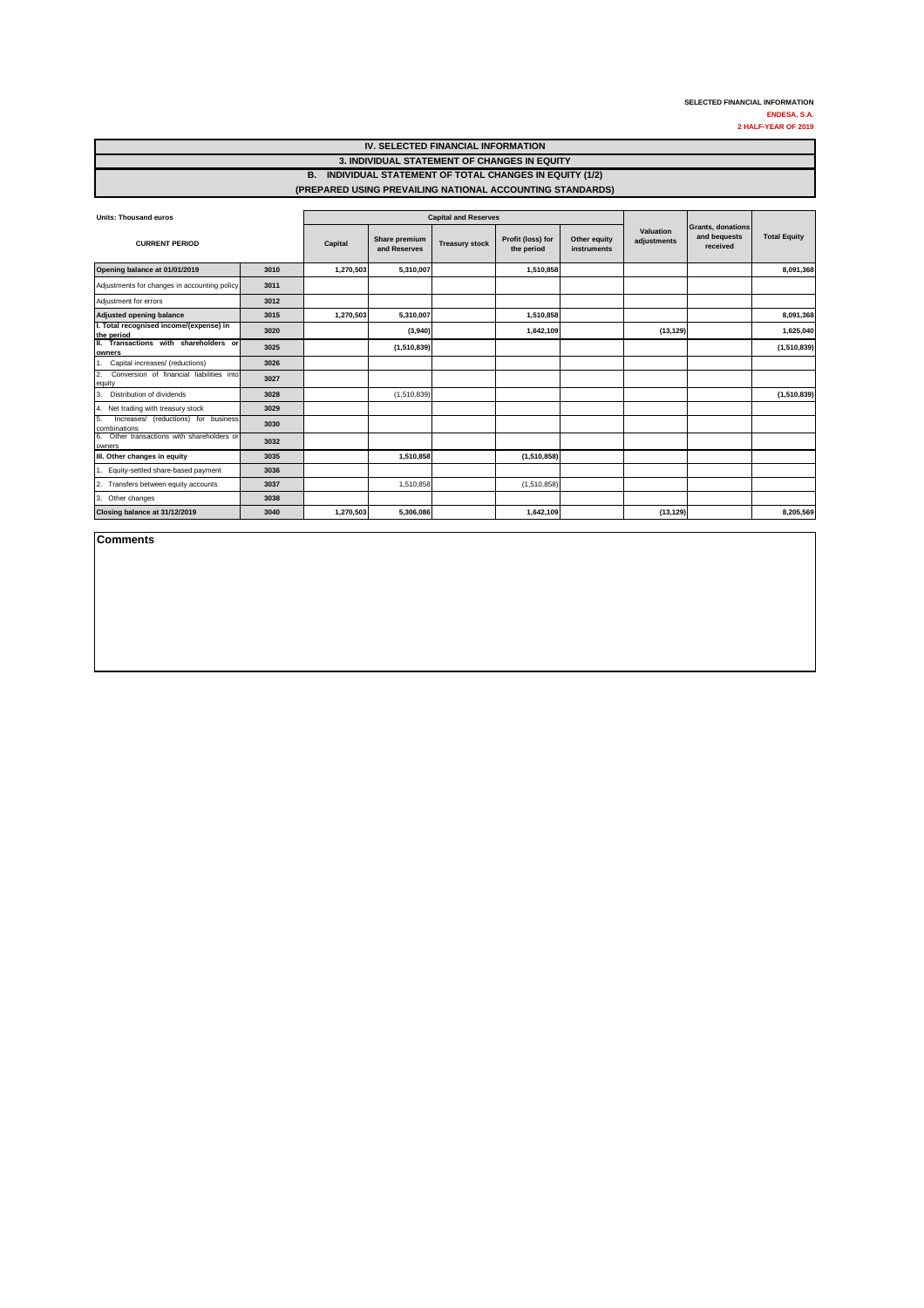| <b>Units: Thousand euros</b>                               |      |           |                               | <b>Capital and Reserves</b> |                                 |                             |                          |                                               |                     |
|------------------------------------------------------------|------|-----------|-------------------------------|-----------------------------|---------------------------------|-----------------------------|--------------------------|-----------------------------------------------|---------------------|
| <b>CURRENT PERIOD</b>                                      |      | Capital   | Share premium<br>and Reserves | <b>Treasury stock</b>       | Profit (loss) for<br>the period | Other equity<br>instruments | Valuation<br>adjustments | Grants, donations<br>and bequests<br>received | <b>Total Equity</b> |
| Opening balance at 01/01/2019                              | 3010 | 1,270,503 | 5,310,007                     |                             | 1,510,858                       |                             |                          |                                               | 8,091,368           |
| Adjustments for changes in accounting policy               | 3011 |           |                               |                             |                                 |                             |                          |                                               |                     |
| Adjustment for errors                                      | 3012 |           |                               |                             |                                 |                             |                          |                                               |                     |
| Adjusted opening balance                                   | 3015 | 1,270,503 | 5,310,007                     |                             | 1,510,858                       |                             |                          |                                               | 8,091,368           |
| I. Total recognised income/(expense) in<br>the period      | 3020 |           | (3,940)                       |                             | 1,642,109                       |                             | (13, 129)                |                                               | 1,625,040           |
| II. Transactions with shareholders or<br><b>lowners</b>    | 3025 |           | (1,510,839)                   |                             |                                 |                             |                          |                                               | (1,510,839)         |
| Capital increases/ (reductions)                            | 3026 |           |                               |                             |                                 |                             |                          |                                               |                     |
| 2.<br>Conversion of financial liabilities into<br>equity   | 3027 |           |                               |                             |                                 |                             |                          |                                               |                     |
| Distribution of dividends<br>3.                            | 3028 |           | (1,510,839)                   |                             |                                 |                             |                          |                                               | (1,510,839)         |
| Net trading with treasury stock<br>4.                      | 3029 |           |                               |                             |                                 |                             |                          |                                               |                     |
| 5.<br>Increases/ (reductions) for business<br>combinations | 3030 |           |                               |                             |                                 |                             |                          |                                               |                     |
| Other transactions with shareholders or<br>6.<br>owners    | 3032 |           |                               |                             |                                 |                             |                          |                                               |                     |
| III. Other changes in equity                               | 3035 |           | 1,510,858                     |                             | (1,510,858)                     |                             |                          |                                               |                     |
| Equity-settled share-based payment                         | 3036 |           |                               |                             |                                 |                             |                          |                                               |                     |
| Transfers between equity accounts<br>2.                    | 3037 |           | 1,510,858                     |                             | (1,510,858)                     |                             |                          |                                               |                     |
| Other changes<br>3.                                        | 3038 |           |                               |                             |                                 |                             |                          |                                               |                     |
| Closing balance at 31/12/2019                              | 3040 | 1,270,503 | 5,306,086                     |                             | 1,642,109                       |                             | (13, 129)                |                                               | 8,205,569           |

| IV. SELECTED FINANCIAL INFORMATION                        |
|-----------------------------------------------------------|
| 3. INDIVIDUAL STATEMENT OF CHANGES IN EQUITY              |
| B. INDIVIDUAL STATEMENT OF TOTAL CHANGES IN EQUITY (1/2)  |
| (PREPARED USING PREVAILING NATIONAL ACCOUNTING STANDARDS) |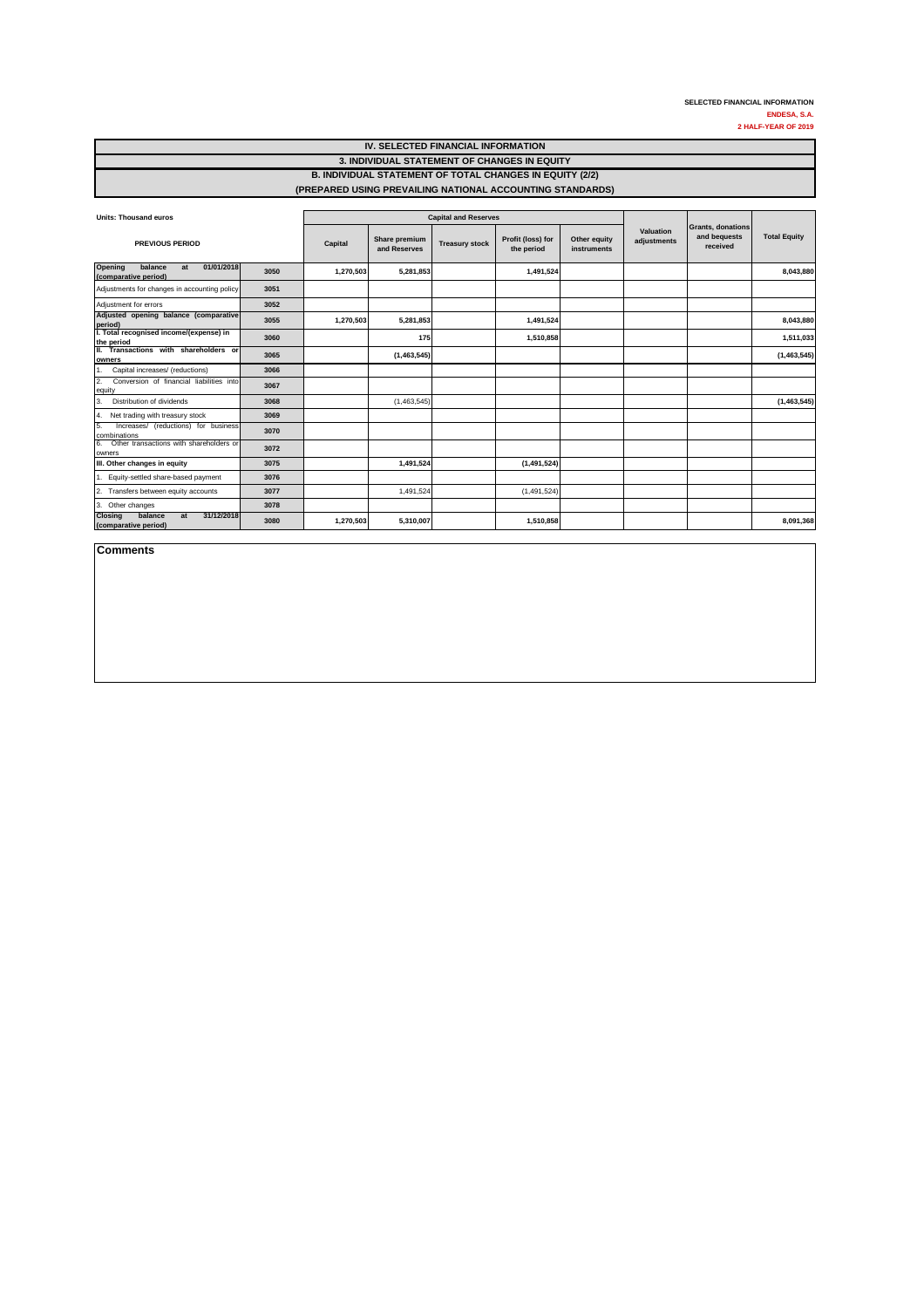| <b>Units: Thousand euros</b>                                          |      |           |                               | <b>Capital and Reserves</b> |                                 |                             |                          |                                               | <b>Total Equity</b> |
|-----------------------------------------------------------------------|------|-----------|-------------------------------|-----------------------------|---------------------------------|-----------------------------|--------------------------|-----------------------------------------------|---------------------|
| <b>PREVIOUS PERIOD</b>                                                |      | Capital   | Share premium<br>and Reserves | <b>Treasury stock</b>       | Profit (loss) for<br>the period | Other equity<br>instruments | Valuation<br>adjustments | Grants, donations<br>and bequests<br>received |                     |
| 01/01/2018<br>Opening<br>balance<br>at<br>(comparative period)        | 3050 | 1,270,503 | 5,281,853                     |                             | 1,491,524                       |                             |                          |                                               | 8,043,880           |
| Adjustments for changes in accounting policy                          | 3051 |           |                               |                             |                                 |                             |                          |                                               |                     |
| Adjustment for errors                                                 | 3052 |           |                               |                             |                                 |                             |                          |                                               |                     |
| Adjusted opening balance (comparative<br>period)                      | 3055 | 1,270,503 | 5,281,853                     |                             | 1,491,524                       |                             |                          |                                               | 8,043,880           |
| I. Total recognised income/(expense) in<br>the period                 | 3060 |           | 175                           |                             | 1,510,858                       |                             |                          |                                               | 1,511,033           |
| II. Transactions with shareholders or<br><b>lowners</b>               | 3065 |           | (1,463,545)                   |                             |                                 |                             |                          |                                               | (1,463,545)         |
| Capital increases/ (reductions)                                       | 3066 |           |                               |                             |                                 |                             |                          |                                               |                     |
| 2.<br>Conversion of financial liabilities into<br>equity              | 3067 |           |                               |                             |                                 |                             |                          |                                               |                     |
| Distribution of dividends<br>3.                                       | 3068 |           | (1,463,545)                   |                             |                                 |                             |                          |                                               | (1,463,545)         |
| Net trading with treasury stock<br>14.                                | 3069 |           |                               |                             |                                 |                             |                          |                                               |                     |
| 5.<br>Increases/ (reductions) for business<br>combinations            | 3070 |           |                               |                             |                                 |                             |                          |                                               |                     |
| Other transactions with shareholders or<br>6.<br>owners               | 3072 |           |                               |                             |                                 |                             |                          |                                               |                     |
| III. Other changes in equity                                          | 3075 |           | 1,491,524                     |                             | (1,491,524)                     |                             |                          |                                               |                     |
| Equity-settled share-based payment                                    | 3076 |           |                               |                             |                                 |                             |                          |                                               |                     |
| Transfers between equity accounts<br>2.                               | 3077 |           | 1,491,524                     |                             | (1,491,524)                     |                             |                          |                                               |                     |
| 3. Other changes                                                      | 3078 |           |                               |                             |                                 |                             |                          |                                               |                     |
| 31/12/2018<br><b>Closing</b><br>balance<br>at<br>(comparative period) | 3080 | 1,270,503 | 5,310,007                     |                             | 1,510,858                       |                             |                          |                                               | 8,091,368           |

**Comments**

#### **IV. SELECTED FINANCIAL INFORMATION 3. INDIVIDUAL STATEMENT OF CHANGES IN EQUITY B. INDIVIDUAL STATEMENT OF TOTAL CHANGES IN EQUITY (2/2) (PREPARED USING PREVAILING NATIONAL ACCOUNTING STANDARDS)**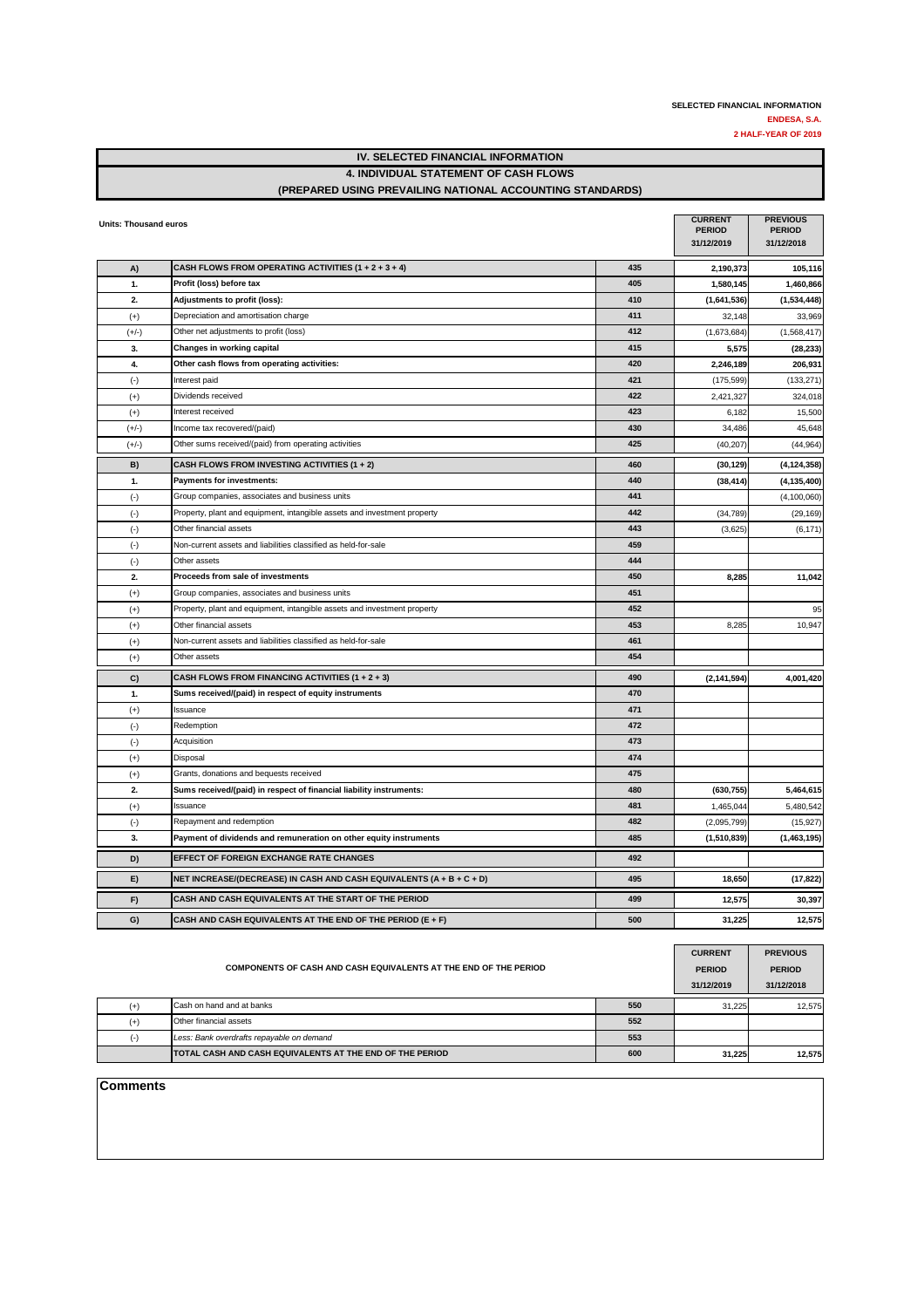#### **IV. SELECTED FINANCIAL INFORMATION 4. INDIVIDUAL STATEMENT OF CASH FLOWS (PREPARED USING PREVAILING NATIONAL ACCOUNTING STANDARDS)**

| <b>Units: Thousand euros</b> |                                                                          |     | <b>CURRENT</b><br><b>PERIOD</b><br>31/12/2019 | <b>PREVIOUS</b><br><b>PERIOD</b><br>31/12/2018 |
|------------------------------|--------------------------------------------------------------------------|-----|-----------------------------------------------|------------------------------------------------|
| A)                           | CASH FLOWS FROM OPERATING ACTIVITIES $(1 + 2 + 3 + 4)$                   | 435 | 2,190,373                                     | 105,116                                        |
| 1.                           | Profit (loss) before tax                                                 | 405 | 1,580,145                                     | 1,460,866                                      |
| 2.                           | Adjustments to profit (loss):                                            | 410 | (1,641,536)                                   | (1,534,448)                                    |
| $(+)$                        | Depreciation and amortisation charge                                     | 411 | 32,148                                        | 33,969                                         |
| $(+/-)$                      | Other net adjustments to profit (loss)                                   | 412 | (1,673,684)                                   | (1,568,417)                                    |
| 3.                           | Changes in working capital                                               | 415 | 5,575                                         | (28, 233)                                      |
| 4.                           | Other cash flows from operating activities:                              | 420 | 2,246,189                                     | 206,931                                        |
| $(\cdot)$                    | Interest paid                                                            | 421 | (175, 599)                                    | (133, 271)                                     |
| $(+)$                        | Dividends received                                                       | 422 | 2,421,327                                     | 324,018                                        |
| $(+)$                        | Interest received                                                        | 423 | 6,182                                         | 15,500                                         |
| $(+/-)$                      | Income tax recovered/(paid)                                              | 430 | 34,486                                        | 45,648                                         |
| $(+/-)$                      | Other sums received/(paid) from operating activities                     | 425 | (40, 207)                                     | (44, 964)                                      |
| B)                           | CASH FLOWS FROM INVESTING ACTIVITIES (1 + 2)                             | 460 | (30, 129)                                     | (4, 124, 358)                                  |
| 1.                           | <b>Payments for investments:</b>                                         | 440 | (38, 414)                                     | (4, 135, 400)                                  |
| $(\cdot)$                    | Group companies, associates and business units                           | 441 |                                               | (4,100,060)                                    |
| $(\cdot)$                    | Property, plant and equipment, intangible assets and investment property | 442 | (34, 789)                                     | (29, 169)                                      |
| $(\cdot)$                    | Other financial assets                                                   | 443 | (3,625)                                       | (6, 171)                                       |
| $(\cdot)$                    | Non-current assets and liabilities classified as held-for-sale           | 459 |                                               |                                                |
| $(\cdot)$                    | Other assets                                                             | 444 |                                               |                                                |
| 2.                           | Proceeds from sale of investments                                        | 450 | 8,285                                         | 11,042                                         |
| $(+)$                        | Group companies, associates and business units                           | 451 |                                               |                                                |
| $(+)$                        | Property, plant and equipment, intangible assets and investment property | 452 |                                               | 95                                             |
| $(+)$                        | Other financial assets                                                   | 453 | 8,285                                         | 10,947                                         |
| $(+)$                        | Non-current assets and liabilities classified as held-for-sale           | 461 |                                               |                                                |
| $(+)$                        | Other assets                                                             | 454 |                                               |                                                |
| C)                           | CASH FLOWS FROM FINANCING ACTIVITIES $(1 + 2 + 3)$                       | 490 | (2, 141, 594)                                 | 4,001,420                                      |
| 1.                           | Sums received/(paid) in respect of equity instruments                    | 470 |                                               |                                                |
| $(+)$                        | Issuance                                                                 | 471 |                                               |                                                |
| $(\cdot)$                    | Redemption                                                               | 472 |                                               |                                                |
| $(\cdot)$                    | Acquisition                                                              | 473 |                                               |                                                |
| $(+)$                        | Disposal                                                                 | 474 |                                               |                                                |
| $(+)$                        | Grants, donations and bequests received                                  | 475 |                                               |                                                |
| 2.                           | Sums received/(paid) in respect of financial liability instruments:      | 480 | (630, 755)                                    | 5,464,615                                      |
| $(+)$                        | Issuance                                                                 | 481 | 1,465,044                                     | 5,480,542                                      |
| $(\cdot)$                    | Repayment and redemption                                                 | 482 | (2,095,799)                                   | (15, 927)                                      |
| 3.                           | Payment of dividends and remuneration on other equity instruments        | 485 | (1,510,839)                                   | (1,463,195)                                    |
| D)                           | <b>EFFECT OF FOREIGN EXCHANGE RATE CHANGES</b>                           | 492 |                                               |                                                |
| E)                           | NET INCREASE/(DECREASE) IN CASH AND CASH EQUIVALENTS (A + B + C + D)     | 495 | 18,650                                        | (17, 822)                                      |
| F)                           | CASH AND CASH EQUIVALENTS AT THE START OF THE PERIOD                     | 499 | 12,575                                        | 30,397                                         |
| G)                           | CASH AND CASH EQUIVALENTS AT THE END OF THE PERIOD (E + F)               | 500 | 31,225                                        | 12,575                                         |

| <b>COMPONENTS OF CASH AND CASH EQUIVALENTS AT THE END OF THE PERIOD</b> |                                                           |     |        | <b>PREVIOUS</b><br><b>PERIOD</b><br>31/12/2018 |
|-------------------------------------------------------------------------|-----------------------------------------------------------|-----|--------|------------------------------------------------|
| $(+)$                                                                   | Cash on hand and at banks                                 | 550 | 31.225 | 12.575                                         |
| $(+)$                                                                   | Other financial assets                                    | 552 |        |                                                |
|                                                                         | Less: Bank overdrafts repayable on demand                 | 553 |        |                                                |
|                                                                         | ITOTAL CASH AND CASH EQUIVALENTS AT THE END OF THE PERIOD | 600 | 31,225 | 12,575                                         |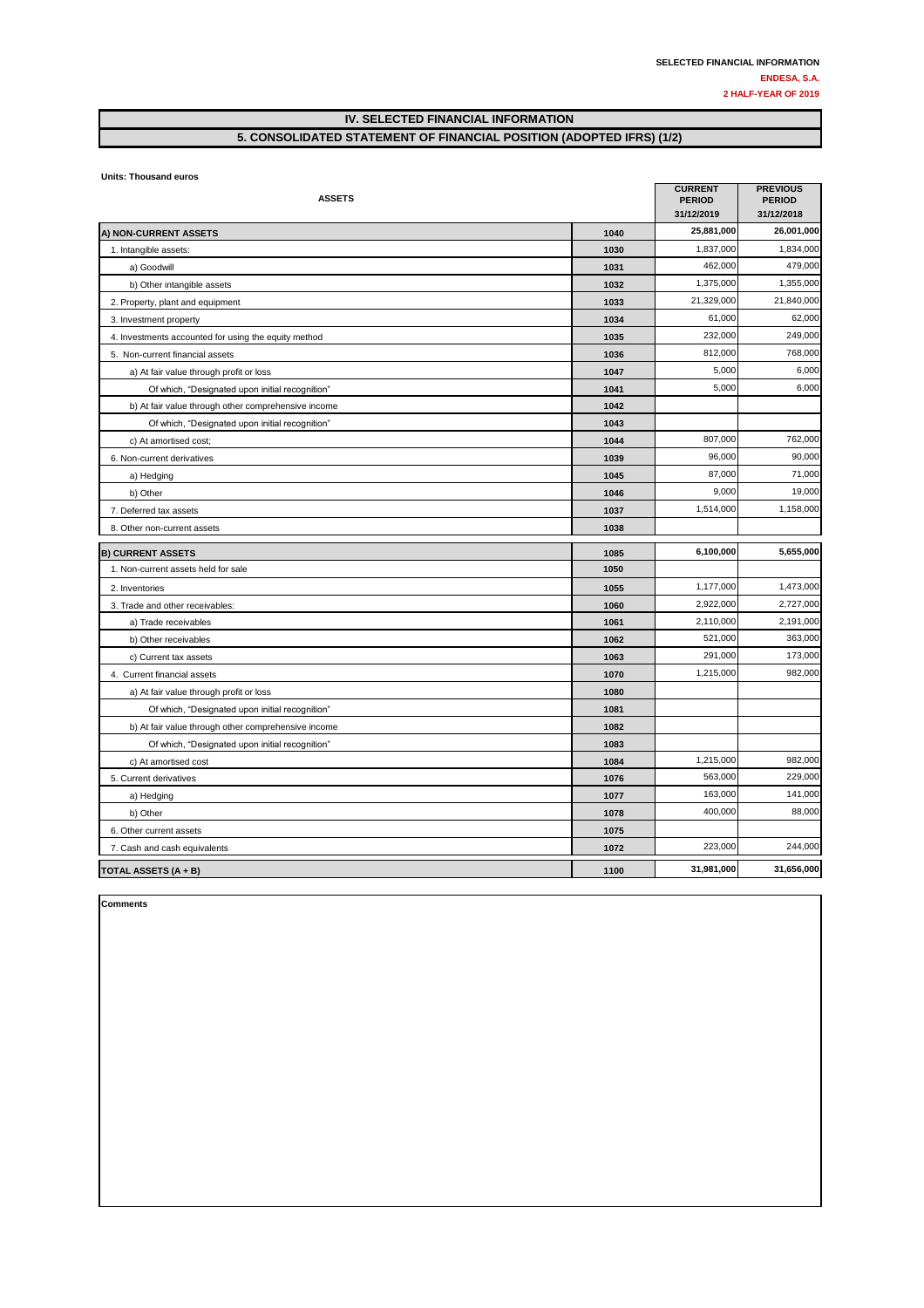#### **IV. SELECTED FINANCIAL INFORMATION 5. CONSOLIDATED STATEMENT OF FINANCIAL POSITION (ADOPTED IFRS) (1/2)**

**Units: Thousand euros** 

| <b>ASSETS</b>                                        |      | <b>CURRENT</b><br><b>PERIOD</b><br>31/12/2019 | <b>PREVIOUS</b><br><b>PERIOD</b><br>31/12/2018 |
|------------------------------------------------------|------|-----------------------------------------------|------------------------------------------------|
| A) NON-CURRENT ASSETS                                | 1040 | 25,881,000                                    | 26,001,000                                     |
| 1. Intangible assets:                                | 1030 | 1,837,000                                     | 1,834,000                                      |
| a) Goodwill                                          | 1031 | 462,000                                       | 479,000                                        |
| b) Other intangible assets                           | 1032 | 1,375,000                                     | 1,355,000                                      |
| 2. Property, plant and equipment                     | 1033 | 21,329,000                                    | 21,840,000                                     |
| 3. Investment property                               | 1034 | 61,000                                        | 62,000                                         |
| 4. Investments accounted for using the equity method | 1035 | 232,000                                       | 249,000                                        |
| 5. Non-current financial assets                      | 1036 | 812.000                                       | 768,000                                        |
| a) At fair value through profit or loss              | 1047 | 5,000                                         | 6,000                                          |
| Of which, "Designated upon initial recognition"      | 1041 | 5,000                                         | 6,000                                          |
| b) At fair value through other comprehensive income  | 1042 |                                               |                                                |
| Of which, "Designated upon initial recognition"      | 1043 |                                               |                                                |
| c) At amortised cost;                                | 1044 | 807,000                                       | 762,000                                        |
| 6. Non-current derivatives                           | 1039 | 96,000                                        | 90,000                                         |
| a) Hedging                                           | 1045 | 87,000                                        | 71,000                                         |
| b) Other                                             | 1046 | 9,000                                         | 19,000                                         |
| 7. Deferred tax assets                               | 1037 | 1,514,000                                     | 1,158,000                                      |
| 8. Other non-current assets                          | 1038 |                                               |                                                |
| <b>B) CURRENT ASSETS</b>                             | 1085 | 6,100,000                                     | 5,655,000                                      |
| 1. Non-current assets held for sale                  | 1050 |                                               |                                                |
| 2. Inventories                                       | 1055 | 1,177,000                                     | 1,473,000                                      |
| 3. Trade and other receivables:                      | 1060 | 2,922,000                                     | 2,727,000                                      |
| a) Trade receivables                                 | 1061 | 2,110,000                                     | 2,191,000                                      |
| b) Other receivables                                 | 1062 | 521,000                                       | 363,000                                        |
| c) Current tax assets                                | 1063 | 291,000                                       | 173,000                                        |
| 4. Current financial assets                          | 1070 | 1,215,000                                     | 982,000                                        |
| a) At fair value through profit or loss              | 1080 |                                               |                                                |
| Of which, "Designated upon initial recognition"      | 1081 |                                               |                                                |
| b) At fair value through other comprehensive income  | 1082 |                                               |                                                |
| Of which, "Designated upon initial recognition"      | 1083 |                                               |                                                |
| c) At amortised cost                                 | 1084 | 1,215,000                                     | 982,000                                        |
| 5. Current derivatives                               | 1076 | 563,000                                       | 229,000                                        |
| a) Hedging                                           | 1077 | 163,000                                       | 141,000                                        |
| b) Other                                             | 1078 | 400,000                                       | 88,000                                         |
| 6. Other current assets                              | 1075 |                                               |                                                |
| 7. Cash and cash equivalents                         | 1072 | 223,000                                       | 244,000                                        |
| TOTAL ASSETS (A + B)                                 | 1100 | 31,981,000                                    | 31,656,000                                     |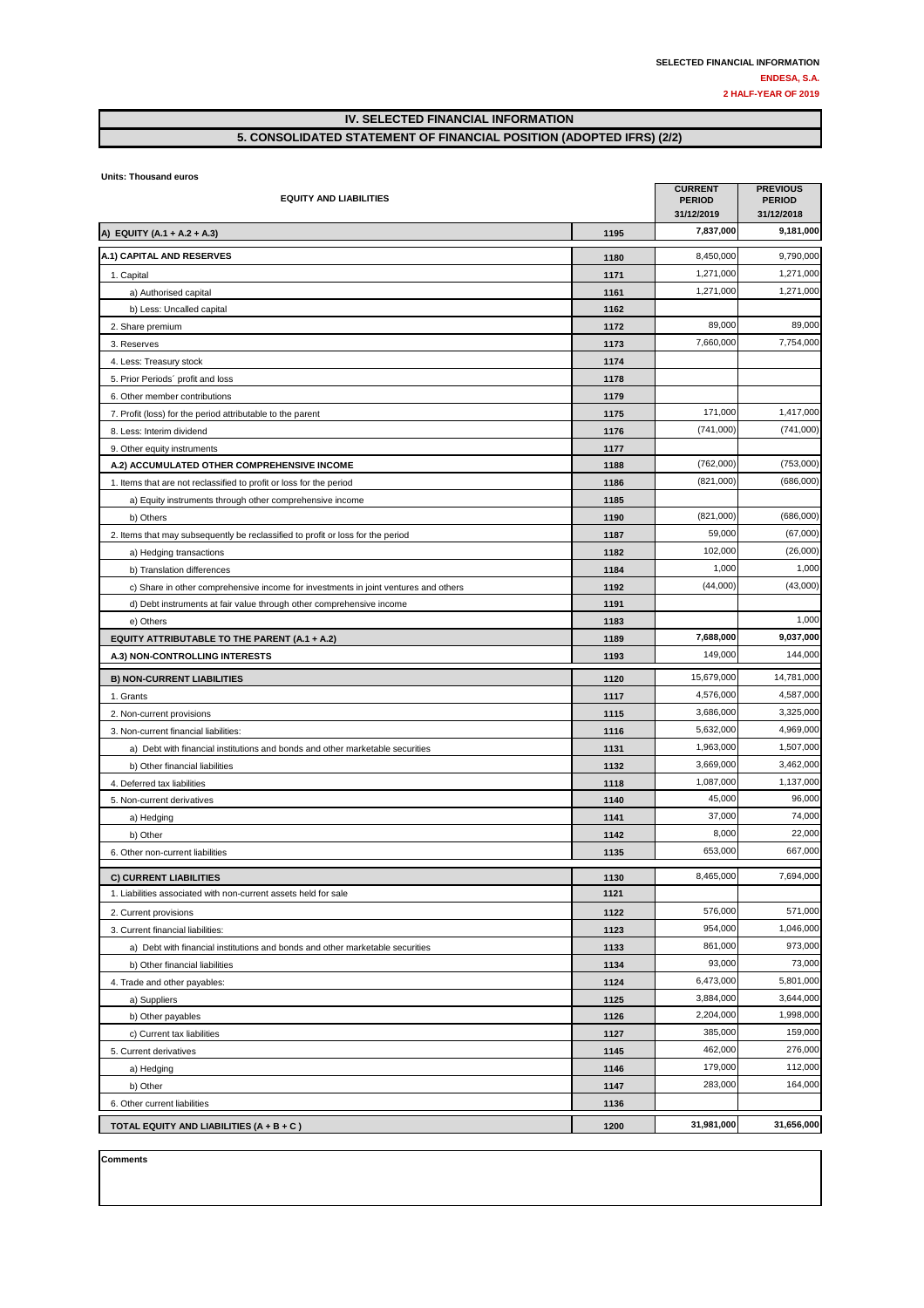#### **IV. SELECTED FINANCIAL INFORMATION 5. CONSOLIDATED STATEMENT OF FINANCIAL POSITION (ADOPTED IFRS) (2/2)**

**Units: Thousand euros** 

| <b>EQUITY AND LIABILITIES</b>                                                       |      | <b>CURRENT</b><br><b>PERIOD</b><br>31/12/2019 | <b>PREVIOUS</b><br><b>PERIOD</b><br>31/12/2018 |
|-------------------------------------------------------------------------------------|------|-----------------------------------------------|------------------------------------------------|
| A) EQUITY (A.1 + A.2 + A.3)                                                         | 1195 | 7,837,000                                     | 9,181,000                                      |
| A.1) CAPITAL AND RESERVES                                                           | 1180 | 8,450,000                                     | 9,790,000                                      |
| 1. Capital                                                                          | 1171 | 1,271,000                                     | 1,271,000                                      |
| a) Authorised capital                                                               | 1161 | 1,271,000                                     | 1,271,000                                      |
| b) Less: Uncalled capital                                                           | 1162 |                                               |                                                |
| 2. Share premium                                                                    | 1172 | 89,000                                        | 89,000                                         |
| 3. Reserves                                                                         | 1173 | 7,660,000                                     | 7,754,000                                      |
| 4. Less: Treasury stock                                                             | 1174 |                                               |                                                |
| 5. Prior Periods' profit and loss                                                   | 1178 |                                               |                                                |
| 6. Other member contributions                                                       | 1179 |                                               |                                                |
| 7. Profit (loss) for the period attributable to the parent                          | 1175 | 171,000                                       | 1,417,000                                      |
| 8. Less: Interim dividend                                                           | 1176 | (741,000)                                     | (741,000)                                      |
| 9. Other equity instruments                                                         | 1177 |                                               |                                                |
| A.2) ACCUMULATED OTHER COMPREHENSIVE INCOME                                         | 1188 | (762,000)                                     | (753,000)                                      |
| 1. Items that are not reclassified to profit or loss for the period                 | 1186 | (821,000)                                     | (686,000)                                      |
| a) Equity instruments through other comprehensive income                            | 1185 |                                               |                                                |
| b) Others                                                                           | 1190 | (821,000)                                     | (686,000)                                      |
| 2. Items that may subsequently be reclassified to profit or loss for the period     | 1187 | 59,000                                        | (67,000)                                       |
| a) Hedging transactions                                                             | 1182 | 102,000                                       | (26,000)                                       |
| b) Translation differences                                                          | 1184 | 1,000                                         | 1,000                                          |
| c) Share in other comprehensive income for investments in joint ventures and others | 1192 | (44,000)                                      | (43,000)                                       |
| d) Debt instruments at fair value through other comprehensive income                | 1191 |                                               |                                                |
| e) Others                                                                           | 1183 |                                               | 1,000                                          |
| EQUITY ATTRIBUTABLE TO THE PARENT (A.1 + A.2)                                       | 1189 | 7,688,000                                     | 9,037,000                                      |
| A.3) NON-CONTROLLING INTERESTS                                                      | 1193 | 149,000                                       | 144,000                                        |
| <b>B) NON-CURRENT LIABILITIES</b>                                                   | 1120 | 15,679,000                                    | 14,781,000                                     |
| 1. Grants                                                                           | 1117 | 4,576,000                                     | 4,587,000                                      |
| 2. Non-current provisions                                                           | 1115 | 3,686,000                                     | 3,325,000                                      |
| 3. Non-current financial liabilities:                                               | 1116 | 5,632,000                                     | 4,969,000                                      |
| a) Debt with financial institutions and bonds and other marketable securities       | 1131 | 1,963,000                                     | 1,507,000                                      |
| b) Other financial liabilities                                                      | 1132 | 3,669,000                                     | 3,462,000                                      |
| 4. Deferred tax liabilities                                                         | 1118 | 1,087,000                                     | 1,137,000                                      |
| 5. Non-current derivatives                                                          | 1140 | 45,000                                        | 96,000                                         |
| a) Hedging                                                                          | 1141 | 37,000                                        | 74,000                                         |
| b) Other                                                                            | 1142 | 8,000                                         | 22,000                                         |
| 6. Other non-current liabilities                                                    | 1135 | 653,000                                       | 667,000                                        |
| <b>C) CURRENT LIABILITIES</b>                                                       | 1130 | 8,465,000                                     | 7,694,000                                      |
| 1. Liabilities associated with non-current assets held for sale                     | 1121 |                                               |                                                |
| 2. Current provisions                                                               | 1122 | 576,000                                       | 571,000                                        |
| 3. Current financial liabilities:                                                   | 1123 | 954,000                                       | 1,046,000                                      |
| a) Debt with financial institutions and bonds and other marketable securities       | 1133 | 861,000                                       | 973,000                                        |
| b) Other financial liabilities                                                      | 1134 | 93,000                                        | 73,000                                         |
| 4. Trade and other payables:                                                        | 1124 | 6,473,000                                     | 5,801,000                                      |
| a) Suppliers                                                                        | 1125 | 3,884,000                                     | 3,644,000                                      |
| b) Other payables                                                                   | 1126 | 2,204,000                                     | 1,998,000                                      |
| c) Current tax liabilities                                                          | 1127 | 385,000                                       | 159,000                                        |
| 5. Current derivatives                                                              | 1145 | 462,000                                       | 276,000                                        |
| a) Hedging                                                                          | 1146 | 179,000                                       | 112,000                                        |
| b) Other                                                                            | 1147 | 283,000                                       | 164,000                                        |
| 6. Other current liabilities                                                        | 1136 |                                               |                                                |
| TOTAL EQUITY AND LIABILITIES (A + B + C)                                            | 1200 | 31,981,000                                    | 31,656,000                                     |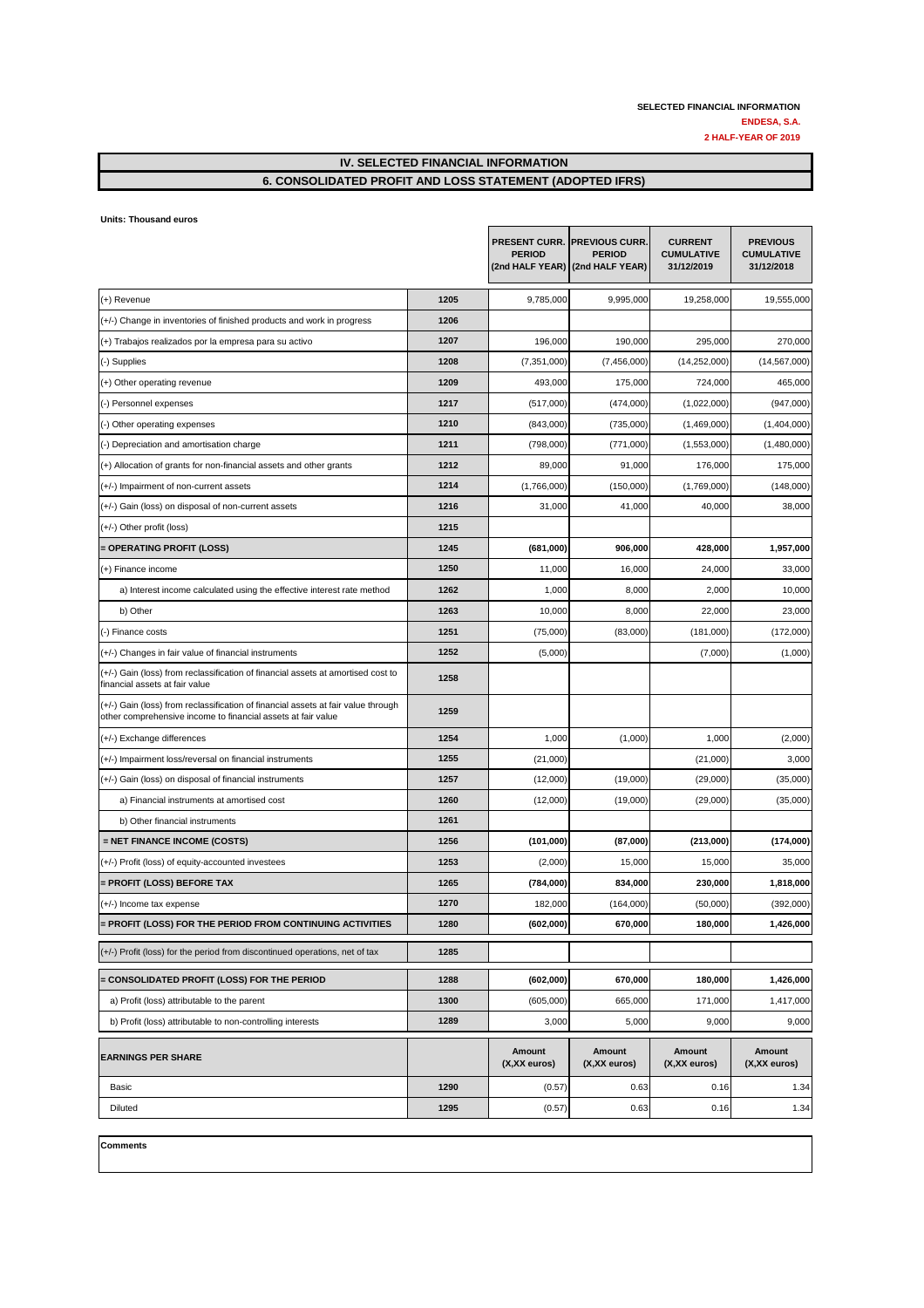#### **IV. SELECTED FINANCIAL INFORMATION 6. CONSOLIDATED PROFIT AND LOSS STATEMENT (ADOPTED IFRS)**

| Units: Thousand euros |  |
|-----------------------|--|
|                       |  |

|                                                                                                                                                   |      | <b>PERIOD</b>          | PRESENT CURR. PREVIOUS CURR.<br><b>PERIOD</b><br>(2nd HALF YEAR) (2nd HALF YEAR) | <b>CURRENT</b><br><b>CUMULATIVE</b><br>31/12/2019 | <b>PREVIOUS</b><br><b>CUMULATIVE</b><br>31/12/2018 |
|---------------------------------------------------------------------------------------------------------------------------------------------------|------|------------------------|----------------------------------------------------------------------------------|---------------------------------------------------|----------------------------------------------------|
| (+) Revenue                                                                                                                                       | 1205 | 9,785,000              | 9,995,000                                                                        | 19,258,000                                        | 19,555,000                                         |
| (+/-) Change in inventories of finished products and work in progress                                                                             | 1206 |                        |                                                                                  |                                                   |                                                    |
| (+) Trabajos realizados por la empresa para su activo                                                                                             | 1207 | 196,000                | 190,000                                                                          | 295,000                                           | 270,000                                            |
| (-) Supplies                                                                                                                                      | 1208 | (7, 351, 000)          | (7,456,000)                                                                      | (14, 252, 000)                                    | (14, 567, 000)                                     |
| (+) Other operating revenue                                                                                                                       | 1209 | 493,000                | 175,000                                                                          | 724,000                                           | 465,000                                            |
| (-) Personnel expenses                                                                                                                            | 1217 | (517,000)              | (474,000)                                                                        | (1,022,000)                                       | (947,000)                                          |
| (-) Other operating expenses                                                                                                                      | 1210 | (843,000)              | (735,000)                                                                        | (1,469,000)                                       | (1,404,000)                                        |
| (-) Depreciation and amortisation charge                                                                                                          | 1211 | (798,000)              | (771,000)                                                                        | (1,553,000)                                       | (1,480,000)                                        |
| (+) Allocation of grants for non-financial assets and other grants                                                                                | 1212 | 89,000                 | 91,000                                                                           | 176,000                                           | 175,000                                            |
| (+/-) Impairment of non-current assets                                                                                                            | 1214 | (1,766,000)            | (150,000)                                                                        | (1,769,000)                                       | (148,000)                                          |
| (+/-) Gain (loss) on disposal of non-current assets                                                                                               | 1216 | 31,000                 | 41,000                                                                           | 40,000                                            | 38,000                                             |
| (+/-) Other profit (loss)                                                                                                                         | 1215 |                        |                                                                                  |                                                   |                                                    |
| = OPERATING PROFIT (LOSS)                                                                                                                         | 1245 | (681,000)              | 906,000                                                                          | 428,000                                           | 1,957,000                                          |
| (+) Finance income                                                                                                                                | 1250 | 11,000                 | 16,000                                                                           | 24,000                                            | 33,000                                             |
| a) Interest income calculated using the effective interest rate method                                                                            | 1262 | 1,000                  | 8,000                                                                            | 2,000                                             | 10,000                                             |
| b) Other                                                                                                                                          | 1263 | 10,000                 | 8,000                                                                            | 22,000                                            | 23,000                                             |
| (-) Finance costs                                                                                                                                 | 1251 | (75,000)               | (83,000)                                                                         | (181,000)                                         | (172,000)                                          |
| (+/-) Changes in fair value of financial instruments                                                                                              | 1252 | (5,000)                |                                                                                  | (7,000)                                           | (1,000)                                            |
| (+/-) Gain (loss) from reclassification of financial assets at amortised cost to<br>financial assets at fair value                                | 1258 |                        |                                                                                  |                                                   |                                                    |
| (+/-) Gain (loss) from reclassification of financial assets at fair value through<br>other comprehensive income to financial assets at fair value | 1259 |                        |                                                                                  |                                                   |                                                    |
| (+/-) Exchange differences                                                                                                                        | 1254 | 1,000                  | (1,000)                                                                          | 1,000                                             | (2,000)                                            |
| (+/-) Impairment loss/reversal on financial instruments                                                                                           | 1255 | (21,000)               |                                                                                  | (21,000)                                          | 3,000                                              |
| (+/-) Gain (loss) on disposal of financial instruments                                                                                            | 1257 | (12,000)               | (19,000)                                                                         | (29,000)                                          | (35,000)                                           |
| a) Financial instruments at amortised cost                                                                                                        | 1260 | (12,000)               | (19,000)                                                                         | (29,000)                                          | (35,000)                                           |
| b) Other financial instruments                                                                                                                    | 1261 |                        |                                                                                  |                                                   |                                                    |
| = NET FINANCE INCOME (COSTS)                                                                                                                      | 1256 | (101,000)              | (87,000)                                                                         | (213,000)                                         | (174,000)                                          |
| (+/-) Profit (loss) of equity-accounted investees                                                                                                 | 1253 | (2,000)                | 15,000                                                                           | 15,000                                            | 35,000                                             |
| = PROFIT (LOSS) BEFORE TAX                                                                                                                        | 1265 | (784,000)              | 834,000                                                                          | 230,000                                           | 1,818,000                                          |
| (+/-) Income tax expense                                                                                                                          | 1270 | 182,000                | (164,000)                                                                        | (50,000)                                          | (392,000)                                          |
| = PROFIT (LOSS) FOR THE PERIOD FROM CONTINUING ACTIVITIES                                                                                         | 1280 | (602,000)              | 670,000                                                                          | 180,000                                           | 1,426,000                                          |
| (+/-) Profit (loss) for the period from discontinued operations, net of tax                                                                       | 1285 |                        |                                                                                  |                                                   |                                                    |
| <b>E CONSOLIDATED PROFIT (LOSS) FOR THE PERIOD</b>                                                                                                | 1288 | (602,000)              | 670,000                                                                          | 180,000                                           | 1,426,000                                          |
| a) Profit (loss) attributable to the parent                                                                                                       | 1300 | (605,000)              | 665,000                                                                          | 171,000                                           | 1,417,000                                          |
| b) Profit (loss) attributable to non-controlling interests                                                                                        | 1289 | 3,000                  | 5,000                                                                            | 9,000                                             | 9,000                                              |
| <b>EARNINGS PER SHARE</b>                                                                                                                         |      | Amount<br>(X,XX euros) | <b>Amount</b><br>$(X,XX)$ euros)                                                 | Amount<br>(X,XX euros)                            | Amount<br>$(X,XX)$ euros)                          |
| Basic                                                                                                                                             | 1290 | (0.57)                 | 0.63                                                                             | 0.16                                              | 1.34                                               |
| Diluted                                                                                                                                           | 1295 | (0.57)                 | 0.63                                                                             | 0.16                                              | 1.34                                               |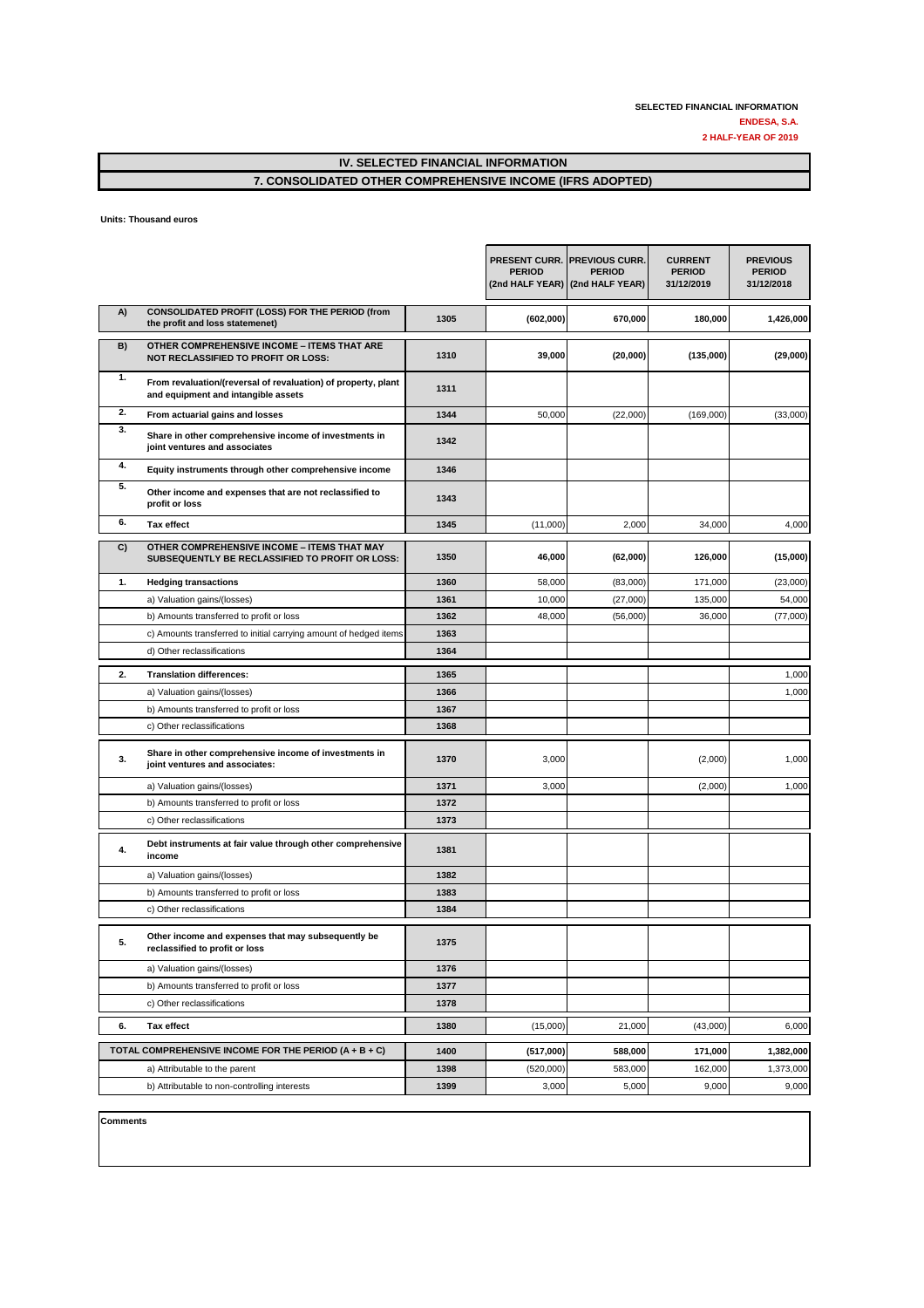## **IV. SELECTED FINANCIAL INFORMATION**

#### **7. CONSOLIDATED OTHER COMPREHENSIVE INCOME (IFRS ADOPTED)**

**Units: Thousand euros** 

|    |                                                                                                              |      | <b>PERIOD</b> | <b>PRESENT CURR. PREVIOUS CURR.</b><br><b>PERIOD</b><br>(2nd HALF YEAR) (2nd HALF YEAR) | <b>CURRENT</b><br><b>PERIOD</b><br>31/12/2019 | <b>PREVIOUS</b><br><b>PERIOD</b><br>31/12/2018 |
|----|--------------------------------------------------------------------------------------------------------------|------|---------------|-----------------------------------------------------------------------------------------|-----------------------------------------------|------------------------------------------------|
| A) | CONSOLIDATED PROFIT (LOSS) FOR THE PERIOD (from<br>the profit and loss statemenet)                           | 1305 | (602,000)     | 670,000                                                                                 | 180,000                                       | 1,426,000                                      |
| B) | <b>OTHER COMPREHENSIVE INCOME - ITEMS THAT ARE</b><br><b>NOT RECLASSIFIED TO PROFIT OR LOSS:</b>             | 1310 | 39,000        | (20,000)                                                                                | (135,000)                                     | (29,000)                                       |
| 1. | From revaluation/(reversal of revaluation) of property, plant<br>and equipment and intangible assets         | 1311 |               |                                                                                         |                                               |                                                |
| 2. | From actuarial gains and losses                                                                              | 1344 | 50,000        | (22,000)                                                                                | (169,000)                                     | (33,000)                                       |
| 3. | Share in other comprehensive income of investments in<br>joint ventures and associates                       | 1342 |               |                                                                                         |                                               |                                                |
| 4. | Equity instruments through other comprehensive income                                                        | 1346 |               |                                                                                         |                                               |                                                |
| 5. | Other income and expenses that are not reclassified to<br>profit or loss                                     | 1343 |               |                                                                                         |                                               |                                                |
| 6. | <b>Tax effect</b>                                                                                            | 1345 | (11,000)      | 2,000                                                                                   | 34,000                                        | 4,000                                          |
| C) | <b>OTHER COMPREHENSIVE INCOME - ITEMS THAT MAY</b><br><b>SUBSEQUENTLY BE RECLASSIFIED TO PROFIT OR LOSS:</b> | 1350 | 46,000        | (62,000)                                                                                | 126,000                                       | (15,000)                                       |
| 1. | <b>Hedging transactions</b>                                                                                  | 1360 | 58,000        | (83,000)                                                                                | 171,000                                       | (23,000)                                       |
|    | a) Valuation gains/(losses)                                                                                  | 1361 | 10,000        | (27,000)                                                                                | 135,000                                       | 54,000                                         |
|    | b) Amounts transferred to profit or loss                                                                     | 1362 | 48,000        | (56,000)                                                                                | 36,000                                        | (77,000)                                       |
|    | c) Amounts transferred to initial carrying amount of hedged items                                            | 1363 |               |                                                                                         |                                               |                                                |
|    | d) Other reclassifications                                                                                   | 1364 |               |                                                                                         |                                               |                                                |
| 2. | <b>Translation differences:</b>                                                                              | 1365 |               |                                                                                         |                                               | 1,000                                          |
|    | a) Valuation gains/(losses)                                                                                  | 1366 |               |                                                                                         |                                               | 1,000                                          |
|    | b) Amounts transferred to profit or loss                                                                     | 1367 |               |                                                                                         |                                               |                                                |
|    | c) Other reclassifications                                                                                   | 1368 |               |                                                                                         |                                               |                                                |
| 3. | Share in other comprehensive income of investments in<br>joint ventures and associates:                      | 1370 | 3,000         |                                                                                         | (2,000)                                       | 1,000                                          |
|    | a) Valuation gains/(losses)                                                                                  | 1371 | 3,000         |                                                                                         | (2,000)                                       | 1,000                                          |
|    | b) Amounts transferred to profit or loss                                                                     | 1372 |               |                                                                                         |                                               |                                                |
|    | c) Other reclassifications                                                                                   | 1373 |               |                                                                                         |                                               |                                                |
| 4. | Debt instruments at fair value through other comprehensive<br>income                                         | 1381 |               |                                                                                         |                                               |                                                |
|    | a) Valuation gains/(losses)                                                                                  | 1382 |               |                                                                                         |                                               |                                                |
|    | b) Amounts transferred to profit or loss                                                                     | 1383 |               |                                                                                         |                                               |                                                |
|    | c) Other reclassifications                                                                                   | 1384 |               |                                                                                         |                                               |                                                |
| 5. | Other income and expenses that may subsequently be<br>reclassified to profit or loss                         | 1375 |               |                                                                                         |                                               |                                                |
|    | a) Valuation gains/(losses)                                                                                  | 1376 |               |                                                                                         |                                               |                                                |
|    | b) Amounts transferred to profit or loss                                                                     | 1377 |               |                                                                                         |                                               |                                                |
|    | c) Other reclassifications                                                                                   | 1378 |               |                                                                                         |                                               |                                                |
| 6. | <b>Tax effect</b>                                                                                            | 1380 | (15,000)      | 21,000                                                                                  | (43,000)                                      | 6,000                                          |
|    | TOTAL COMPREHENSIVE INCOME FOR THE PERIOD (A + B + C)                                                        | 1400 | (517,000)     | 588,000                                                                                 | 171,000                                       | 1,382,000                                      |
|    | a) Attributable to the parent                                                                                | 1398 | (520,000)     | 583,000                                                                                 | 162,000                                       | 1,373,000                                      |
|    | b) Attributable to non-controlling interests                                                                 | 1399 | 3,000         | 5,000                                                                                   | 9,000                                         | 9,000                                          |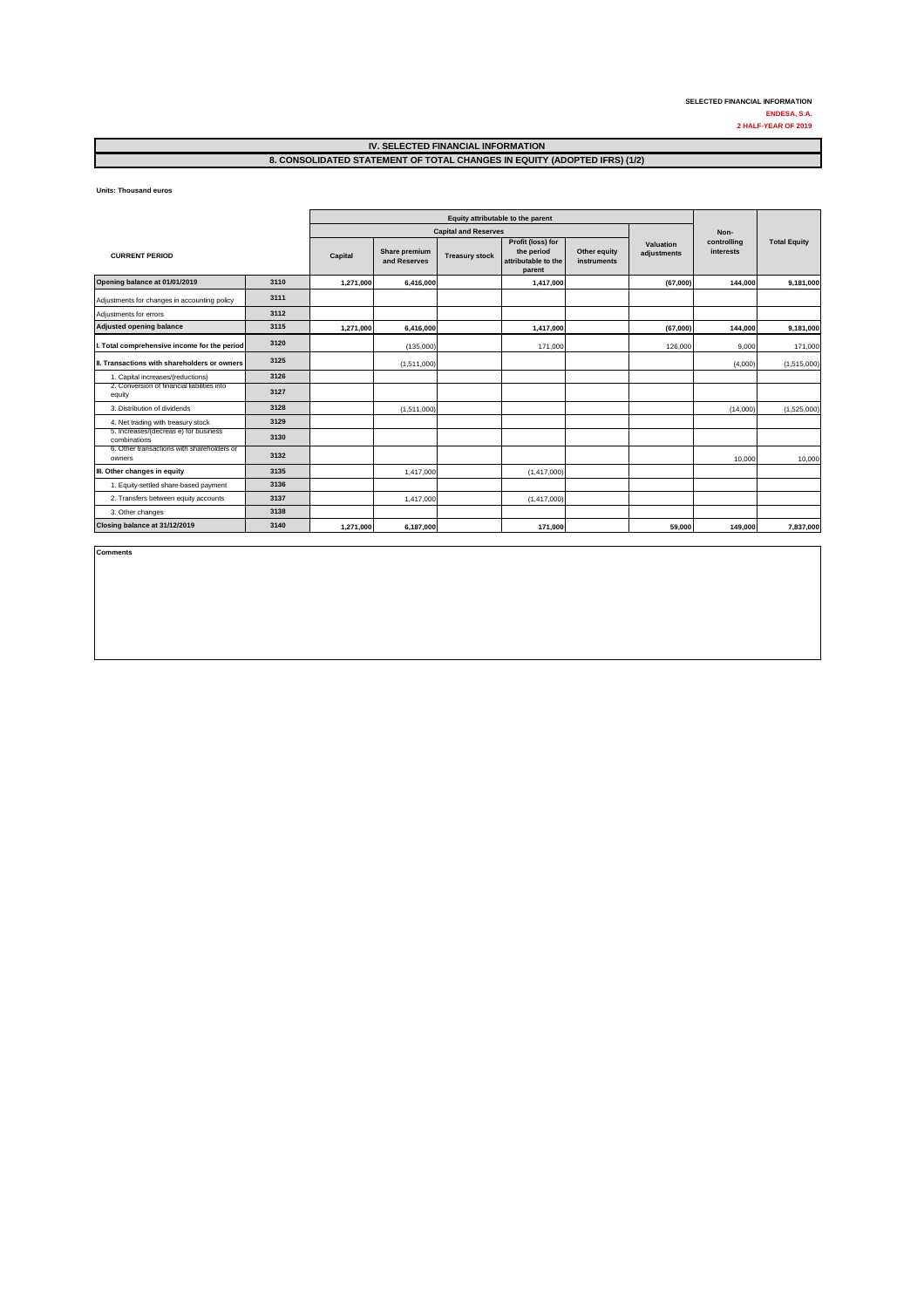**Units: Thousand euros** 

|                                                       |      | Equity attributable to the parent |                               |                             |                                                                  |                             |                          |                          |                     |  |
|-------------------------------------------------------|------|-----------------------------------|-------------------------------|-----------------------------|------------------------------------------------------------------|-----------------------------|--------------------------|--------------------------|---------------------|--|
|                                                       |      |                                   |                               | <b>Capital and Reserves</b> |                                                                  |                             |                          | Non-                     |                     |  |
| <b>CURRENT PERIOD</b>                                 |      | Capital                           | Share premium<br>and Reserves | <b>Treasury stock</b>       | Profit (loss) for<br>the period<br>attributable to the<br>parent | Other equity<br>instruments | Valuation<br>adjustments | controlling<br>interests | <b>Total Equity</b> |  |
| Opening balance at 01/01/2019                         | 3110 | 1,271,000                         | 6,416,000                     |                             | 1,417,000                                                        |                             | (67,000)                 | 144,000                  | 9,181,000           |  |
| Adjustments for changes in accounting policy          | 3111 |                                   |                               |                             |                                                                  |                             |                          |                          |                     |  |
| Adjustments for errors                                | 3112 |                                   |                               |                             |                                                                  |                             |                          |                          |                     |  |
| <b>Adjusted opening balance</b>                       | 3115 | 1,271,000                         | 6,416,000                     |                             | 1,417,000                                                        |                             | (67,000)                 | 144,000                  | 9,181,000           |  |
| . Total comprehensive income for the period           | 3120 |                                   | (135,000)                     |                             | 171,000                                                          |                             | 126,000                  | 9,000                    | 171,000             |  |
| II. Transactions with shareholders or owners          | 3125 |                                   | (1,511,000)                   |                             |                                                                  |                             |                          | (4,000)                  | (1,515,000)         |  |
| 1. Capital increases/(reductions)                     | 3126 |                                   |                               |                             |                                                                  |                             |                          |                          |                     |  |
| 2. Conversion of financial liabilities into<br>equity | 3127 |                                   |                               |                             |                                                                  |                             |                          |                          |                     |  |
| 3. Distribution of dividends                          | 3128 |                                   | (1,511,000)                   |                             |                                                                  |                             |                          | (14,000)                 | (1,525,000)         |  |
| 4. Net trading with treasury stock                    | 3129 |                                   |                               |                             |                                                                  |                             |                          |                          |                     |  |
| 5. Increases/(decreas e) for business<br>combinations | 3130 |                                   |                               |                             |                                                                  |                             |                          |                          |                     |  |
| 6. Other transactions with shareholders or<br>owners  | 3132 |                                   |                               |                             |                                                                  |                             |                          | 10,000                   | 10,000              |  |
| III. Other changes in equity                          | 3135 |                                   | 1,417,000                     |                             | (1,417,000)                                                      |                             |                          |                          |                     |  |
| 1. Equity-settled share-based payment                 | 3136 |                                   |                               |                             |                                                                  |                             |                          |                          |                     |  |
| 2. Transfers between equity accounts                  | 3137 |                                   | 1,417,000                     |                             | (1,417,000)                                                      |                             |                          |                          |                     |  |
| 3. Other changes                                      | 3138 |                                   |                               |                             |                                                                  |                             |                          |                          |                     |  |
| Closing balance at 31/12/2019                         | 3140 | 1,271,000                         | 6,187,000                     |                             | 171,000                                                          |                             | 59,000                   | 149,000                  | 7,837,000           |  |

**Comments**

**2 HALF-YEAR OF 2019 SELECTED FINANCIAL INFORMATION ENDESA, S.A.**

## **IV. SELECTED FINANCIAL INFORMATION 8. CONSOLIDATED STATEMENT OF TOTAL CHANGES IN EQUITY (ADOPTED IFRS) (1/2)**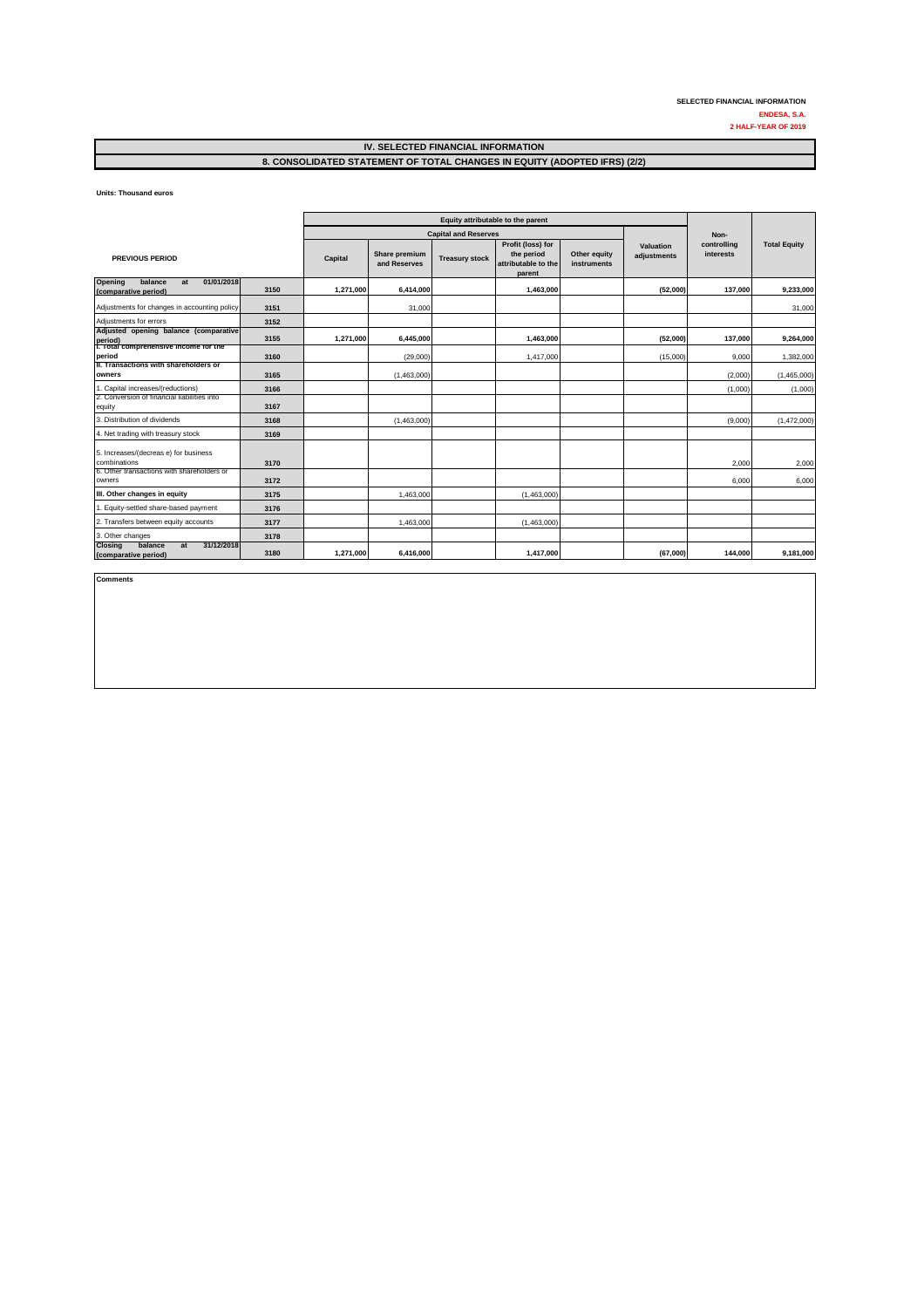**Units: Thousand euros** 

|                                                                       |      | Equity attributable to the parent |                               |                       |                                                                  |                             |                          |                          |                     |
|-----------------------------------------------------------------------|------|-----------------------------------|-------------------------------|-----------------------|------------------------------------------------------------------|-----------------------------|--------------------------|--------------------------|---------------------|
|                                                                       |      |                                   | <b>Capital and Reserves</b>   |                       |                                                                  |                             |                          | Non-                     |                     |
| <b>PREVIOUS PERIOD</b>                                                |      | Capital                           | Share premium<br>and Reserves | <b>Treasury stock</b> | Profit (loss) for<br>the period<br>attributable to the<br>parent | Other equity<br>instruments | Valuation<br>adjustments | controlling<br>interests | <b>Total Equity</b> |
| balance<br>01/01/2018<br>Opening<br>at<br>(comparative period)        | 3150 | 1,271,000                         | 6,414,000                     |                       | 1,463,000                                                        |                             | (52,000)                 | 137,000                  | 9,233,000           |
| Adjustments for changes in accounting policy                          | 3151 |                                   | 31,000                        |                       |                                                                  |                             |                          |                          | 31,000              |
| Adjustments for errors                                                | 3152 |                                   |                               |                       |                                                                  |                             |                          |                          |                     |
| Adjusted opening balance (comparative<br>period)                      | 3155 | 1,271,000                         | 6,445,000                     |                       | 1,463,000                                                        |                             | (52,000)                 | 137,000                  | 9,264,000           |
| 1. Total comprehensive income for the<br>period                       | 3160 |                                   | (29,000)                      |                       | 1,417,000                                                        |                             | (15,000)                 | 9,000                    | 1,382,000           |
| II. Transactions with shareholders or<br>owners                       | 3165 |                                   | (1,463,000)                   |                       |                                                                  |                             |                          | (2,000)                  | (1,465,000)         |
| 1. Capital increases/(reductions)                                     | 3166 |                                   |                               |                       |                                                                  |                             |                          | (1,000)                  | (1,000)             |
| 2. Conversion of financial liabilities into<br>equity                 | 3167 |                                   |                               |                       |                                                                  |                             |                          |                          |                     |
| 3. Distribution of dividends                                          | 3168 |                                   | (1,463,000)                   |                       |                                                                  |                             |                          | (9,000)                  | (1,472,000)         |
| 4. Net trading with treasury stock                                    | 3169 |                                   |                               |                       |                                                                  |                             |                          |                          |                     |
| 5. Increases/(decreas e) for business<br>combinations                 | 3170 |                                   |                               |                       |                                                                  |                             |                          | 2,000                    | 2,000               |
| 6. Other transactions with shareholders or<br>owners                  | 3172 |                                   |                               |                       |                                                                  |                             |                          | 6,000                    | 6,000               |
| III. Other changes in equity                                          | 3175 |                                   | 1,463,000                     |                       | (1,463,000)                                                      |                             |                          |                          |                     |
| 1. Equity-settled share-based payment                                 | 3176 |                                   |                               |                       |                                                                  |                             |                          |                          |                     |
| 2. Transfers between equity accounts                                  | 3177 |                                   | 1,463,000                     |                       | (1,463,000)                                                      |                             |                          |                          |                     |
| 3. Other changes                                                      | 3178 |                                   |                               |                       |                                                                  |                             |                          |                          |                     |
| 31/12/2018<br><b>Closing</b><br>balance<br>at<br>(comparative period) | 3180 | 1,271,000                         | 6,416,000                     |                       | 1,417,000                                                        |                             | (67,000)                 | 144,000                  | 9,181,000           |

**Comments**

**2 HALF-YEAR OF 2019 SELECTED FINANCIAL INFORMATION ENDESA, S.A.**

#### **IV. SELECTED FINANCIAL INFORMATION 8. CONSOLIDATED STATEMENT OF TOTAL CHANGES IN EQUITY (ADOPTED IFRS) (2/2)**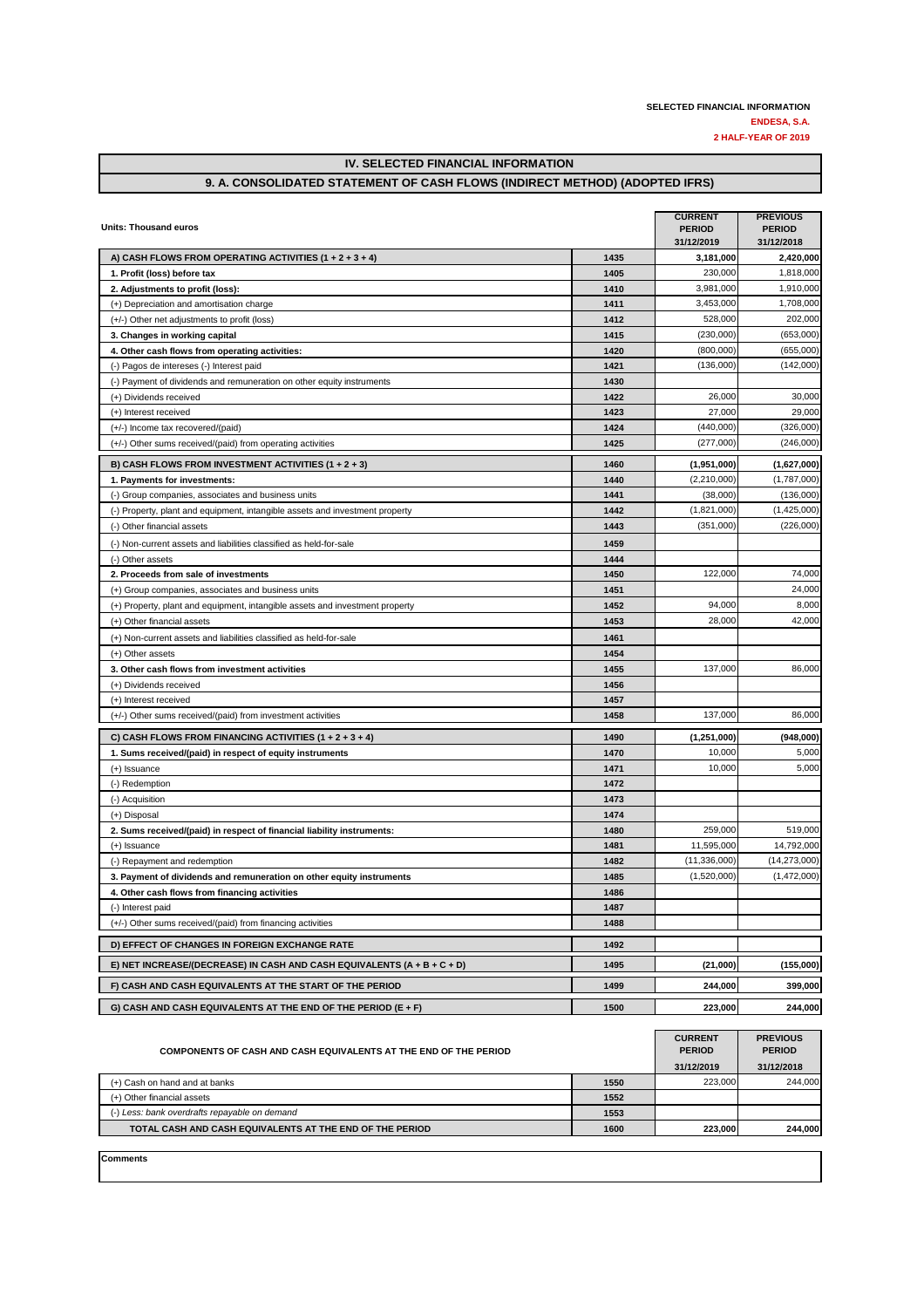## **IV. SELECTED FINANCIAL INFORMATION**

#### **9. A. CONSOLIDATED STATEMENT OF CASH FLOWS (INDIRECT METHOD) (ADOPTED IFRS)**

| Units: Thousand euros                                                        |      | <b>CURRENT</b><br><b>PERIOD</b><br>31/12/2019 | <b>PREVIOUS</b><br><b>PERIOD</b><br>31/12/2018 |
|------------------------------------------------------------------------------|------|-----------------------------------------------|------------------------------------------------|
| A) CASH FLOWS FROM OPERATING ACTIVITIES (1 + 2 + 3 + 4)                      | 1435 | 3,181,000                                     | 2,420,000                                      |
| 1. Profit (loss) before tax                                                  | 1405 | 230.000                                       | 1,818,000                                      |
| 2. Adjustments to profit (loss):                                             | 1410 | 3,981,000                                     | 1,910,000                                      |
| (+) Depreciation and amortisation charge                                     | 1411 | 3,453,000                                     | 1,708,000                                      |
| (+/-) Other net adjustments to profit (loss)                                 | 1412 | 528,000                                       | 202,000                                        |
| 3. Changes in working capital                                                | 1415 | (230,000)                                     | (653,000)                                      |
| 4. Other cash flows from operating activities:                               | 1420 | (800,000)                                     | (655,000)                                      |
| (-) Pagos de intereses (-) Interest paid                                     | 1421 | (136.000)                                     | (142,000)                                      |
| (-) Payment of dividends and remuneration on other equity instruments        | 1430 |                                               |                                                |
| (+) Dividends received                                                       | 1422 | 26,000                                        | 30,000                                         |
| (+) Interest received                                                        | 1423 | 27,000                                        | 29,000                                         |
| (+/-) Income tax recovered/(paid)                                            | 1424 | (440,000)                                     | (326,000)                                      |
| (+/-) Other sums received/(paid) from operating activities                   | 1425 | (277,000)                                     | (246,000)                                      |
| B) CASH FLOWS FROM INVESTMENT ACTIVITIES (1 + 2 + 3)                         | 1460 | (1,951,000)                                   | (1,627,000)                                    |
| 1. Payments for investments:                                                 | 1440 | (2,210,000)                                   | (1,787,000)                                    |
| (-) Group companies, associates and business units                           | 1441 | (38,000)                                      | (136,000)                                      |
| (-) Property, plant and equipment, intangible assets and investment property | 1442 | (1,821,000)                                   | (1,425,000)                                    |
| (-) Other financial assets                                                   | 1443 | (351,000)                                     | (226,000)                                      |
| (-) Non-current assets and liabilities classified as held-for-sale           | 1459 |                                               |                                                |
| (-) Other assets                                                             | 1444 |                                               |                                                |
| 2. Proceeds from sale of investments                                         | 1450 | 122,000                                       | 74,000                                         |
| (+) Group companies, associates and business units                           | 1451 |                                               | 24,000                                         |
| (+) Property, plant and equipment, intangible assets and investment property | 1452 | 94,000                                        | 8,000                                          |
| (+) Other financial assets                                                   | 1453 | 28,000                                        | 42,000                                         |
| (+) Non-current assets and liabilities classified as held-for-sale           | 1461 |                                               |                                                |
| (+) Other assets                                                             | 1454 |                                               |                                                |
| 3. Other cash flows from investment activities                               | 1455 | 137,000                                       | 86,000                                         |
| (+) Dividends received                                                       | 1456 |                                               |                                                |
| (+) Interest received                                                        | 1457 |                                               |                                                |
| (+/-) Other sums received/(paid) from investment activities                  | 1458 | 137,000                                       | 86,000                                         |
| C) CASH FLOWS FROM FINANCING ACTIVITIES $(1 + 2 + 3 + 4)$                    | 1490 | (1,251,000)                                   | (948,000)                                      |
| 1. Sums received/(paid) in respect of equity instruments                     | 1470 | 10,000                                        | 5,000                                          |
| (+) Issuance                                                                 | 1471 | 10,000                                        | 5,000                                          |
| (-) Redemption                                                               | 1472 |                                               |                                                |
| (-) Acquisition                                                              | 1473 |                                               |                                                |
| (+) Disposal                                                                 | 1474 |                                               |                                                |
| 2. Sums received/(paid) in respect of financial liability instruments:       | 1480 | 259,000                                       | 519,000                                        |
| (+) Issuance                                                                 | 1481 | 11,595,000                                    | 14,792,000                                     |
| (-) Repayment and redemption                                                 | 1482 | (11, 336, 000)                                | (14, 273, 000)                                 |
| 3. Payment of dividends and remuneration on other equity instruments         | 1485 | (1,520,000)                                   | (1,472,000)                                    |
| 4. Other cash flows from financing activities                                | 1486 |                                               |                                                |
| (-) Interest paid                                                            | 1487 |                                               |                                                |
| (+/-) Other sums received/(paid) from financing activities                   | 1488 |                                               |                                                |
| D) EFFECT OF CHANGES IN FOREIGN EXCHANGE RATE                                | 1492 |                                               |                                                |
| E) NET INCREASE/(DECREASE) IN CASH AND CASH EQUIVALENTS (A + B + C + D)      | 1495 | (21,000)                                      | (155,000)                                      |
| F) CASH AND CASH EQUIVALENTS AT THE START OF THE PERIOD                      | 1499 | 244,000                                       | 399,000                                        |
| G) CASH AND CASH EQUIVALENTS AT THE END OF THE PERIOD (E + F)                | 1500 | 223,000                                       | 244,000                                        |
|                                                                              |      |                                               |                                                |

| COMPONENTS OF CASH AND CASH EQUIVALENTS AT THE END OF THE PERIOD | <b>CURRENT</b><br><b>PERIOD</b><br>31/12/2019 | <b>PREVIOUS</b><br><b>PERIOD</b><br>31/12/2018 |         |
|------------------------------------------------------------------|-----------------------------------------------|------------------------------------------------|---------|
| (+) Cash on hand and at banks                                    | 1550                                          | 223.000                                        | 244.000 |
| (+) Other financial assets                                       | 1552                                          |                                                |         |
| (-) Less: bank overdrafts repayable on demand                    | 1553                                          |                                                |         |
| TOTAL CASH AND CASH EQUIVALENTS AT THE END OF THE PERIOD         | 1600                                          | 223.000                                        | 244.000 |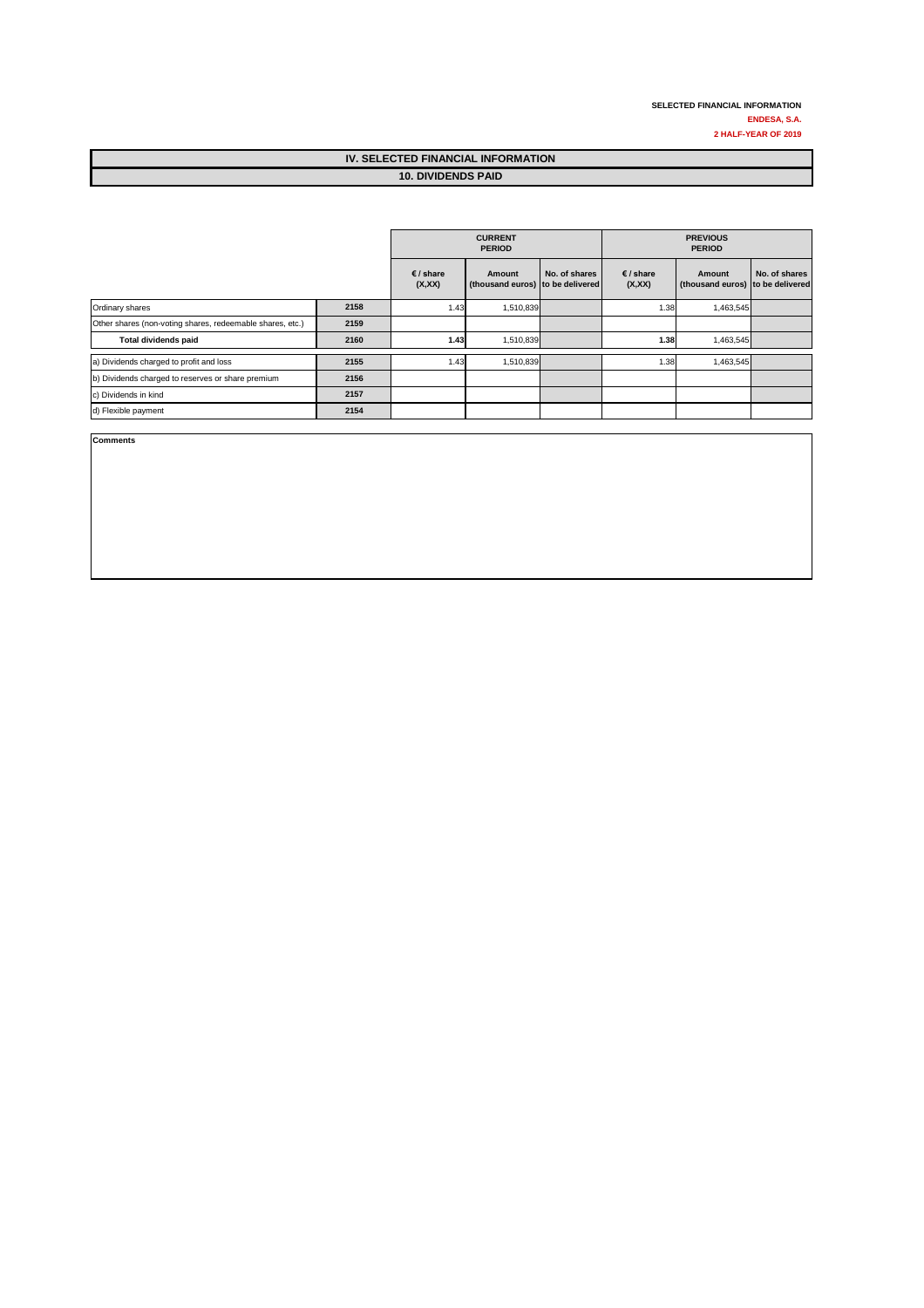| IV. SELECTED FINANCIAL INFORMATION |  |
|------------------------------------|--|
| <b>10. DIVIDENDS PAID</b>          |  |

|                                                           |      | <b>CURRENT</b><br><b>PREVIOUS</b><br><b>PERIOD</b><br><b>PERIOD</b> |                                            |               |                     |                                            |               |
|-----------------------------------------------------------|------|---------------------------------------------------------------------|--------------------------------------------|---------------|---------------------|--------------------------------------------|---------------|
|                                                           |      | € / share<br>(X,XX)                                                 | Amount<br>(thousand euros) to be delivered | No. of shares | € / share<br>(X,XX) | Amount<br>(thousand euros) to be delivered | No. of shares |
| Ordinary shares                                           | 2158 | 1.43                                                                | 1,510,839                                  |               | 1.38                | 1,463,545                                  |               |
| Other shares (non-voting shares, redeemable shares, etc.) | 2159 |                                                                     |                                            |               |                     |                                            |               |
| Total dividends paid                                      | 2160 | 1.43                                                                | 1,510,839                                  |               | 1.38                | 1,463,545                                  |               |
| a) Dividends charged to profit and loss                   | 2155 | 1.43                                                                | 1,510,839                                  |               | 1.38                | 1,463,545                                  |               |
| b) Dividends charged to reserves or share premium         | 2156 |                                                                     |                                            |               |                     |                                            |               |
| c) Dividends in kind                                      | 2157 |                                                                     |                                            |               |                     |                                            |               |
| d) Flexible payment                                       | 2154 |                                                                     |                                            |               |                     |                                            |               |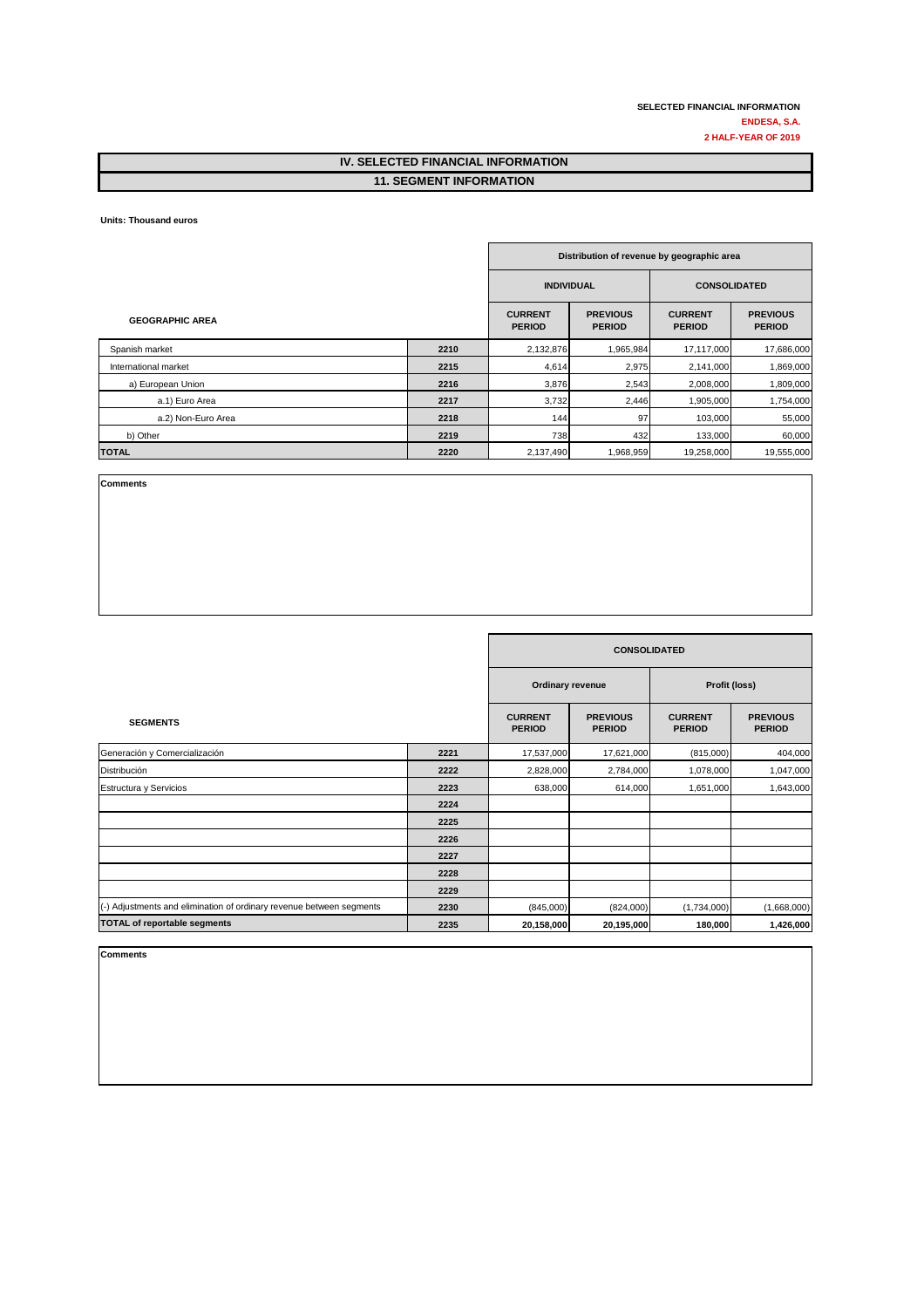#### **IV. SELECTED FINANCIAL INFORMATION 11. SEGMENT INFORMATION**

**Units: Thousand euros** 

|                        |      | Distribution of revenue by geographic area |                                  |                                 |                                  |  |
|------------------------|------|--------------------------------------------|----------------------------------|---------------------------------|----------------------------------|--|
|                        |      | <b>INDIVIDUAL</b><br><b>CONSOLIDATED</b>   |                                  |                                 |                                  |  |
| <b>GEOGRAPHIC AREA</b> |      | <b>CURRENT</b><br><b>PERIOD</b>            | <b>PREVIOUS</b><br><b>PERIOD</b> | <b>CURRENT</b><br><b>PERIOD</b> | <b>PREVIOUS</b><br><b>PERIOD</b> |  |
| Spanish market         | 2210 | 2,132,876                                  | 1,965,984                        | 17,117,000                      | 17,686,000                       |  |
| International market   | 2215 | 4,614                                      | 2,975                            | 2,141,000                       | 1,869,000                        |  |
| a) European Union      | 2216 | 3,876                                      | 2,543                            | 2,008,000                       | 1,809,000                        |  |
| a.1) Euro Area         | 2217 | 3,732                                      | 2,446                            | 1,905,000                       | 1,754,000                        |  |
| a.2) Non-Euro Area     | 2218 | 144                                        | 97                               | 103,000                         | 55,000                           |  |
| b) Other               | 2219 | 738                                        | 432                              | 133,000                         | 60,000                           |  |
| <b>TOTAL</b>           | 2220 | 2,137,490                                  | 1,968,959                        | 19,258,000                      | 19,555,000                       |  |

**Comments**

|                                                                      |      | <b>CONSOLIDATED</b>             |                                  |                                 |                                  |
|----------------------------------------------------------------------|------|---------------------------------|----------------------------------|---------------------------------|----------------------------------|
|                                                                      |      | Ordinary revenue                |                                  | Profit (loss)                   |                                  |
| <b>SEGMENTS</b>                                                      |      | <b>CURRENT</b><br><b>PERIOD</b> | <b>PREVIOUS</b><br><b>PERIOD</b> | <b>CURRENT</b><br><b>PERIOD</b> | <b>PREVIOUS</b><br><b>PERIOD</b> |
| Generación y Comercialización                                        | 2221 | 17,537,000                      | 17,621,000                       | (815,000)                       | 404,000                          |
| Distribución                                                         | 2222 | 2,828,000                       | 2,784,000                        | 1,078,000                       | 1,047,000                        |
| Estructura y Servicios                                               | 2223 | 638,000                         | 614,000                          | 1,651,000                       | 1,643,000                        |
|                                                                      | 2224 |                                 |                                  |                                 |                                  |
|                                                                      | 2225 |                                 |                                  |                                 |                                  |
|                                                                      | 2226 |                                 |                                  |                                 |                                  |
|                                                                      | 2227 |                                 |                                  |                                 |                                  |
|                                                                      | 2228 |                                 |                                  |                                 |                                  |
|                                                                      | 2229 |                                 |                                  |                                 |                                  |
| (-) Adjustments and elimination of ordinary revenue between segments | 2230 | (845,000)                       | (824,000)                        | (1,734,000)                     | (1,668,000)                      |
| <b>TOTAL of reportable segments</b>                                  | 2235 | 20,158,000                      | 20,195,000                       | 180,000                         | 1,426,000                        |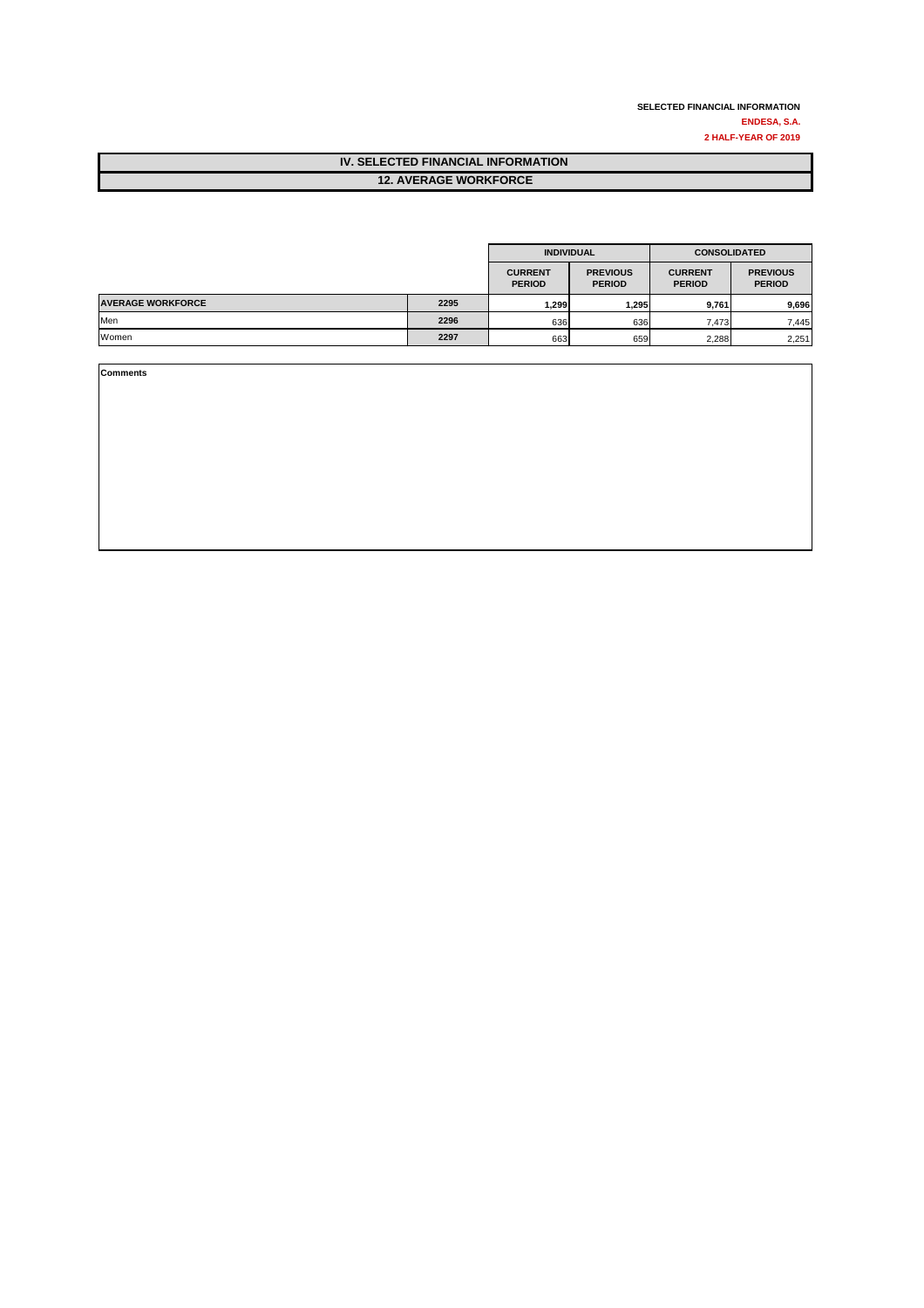| IV. SELECTED FINANCIAL INFORMATION |
|------------------------------------|
| <b>12. AVERAGE WORKFORCE</b>       |

|                          |      | <b>INDIVIDUAL</b>               |                                  | <b>CONSOLIDATED</b>             |                                  |
|--------------------------|------|---------------------------------|----------------------------------|---------------------------------|----------------------------------|
|                          |      | <b>CURRENT</b><br><b>PERIOD</b> | <b>PREVIOUS</b><br><b>PERIOD</b> | <b>CURRENT</b><br><b>PERIOD</b> | <b>PREVIOUS</b><br><b>PERIOD</b> |
| <b>AVERAGE WORKFORCE</b> | 2295 | 299. ا                          | 1,295                            | 9,761                           | 9,696                            |
| Men                      | 2296 | 636                             | 636                              | 7,473                           | 7,445                            |
| Women                    | 2297 | 663                             | 659                              | 2,288                           | 2,251                            |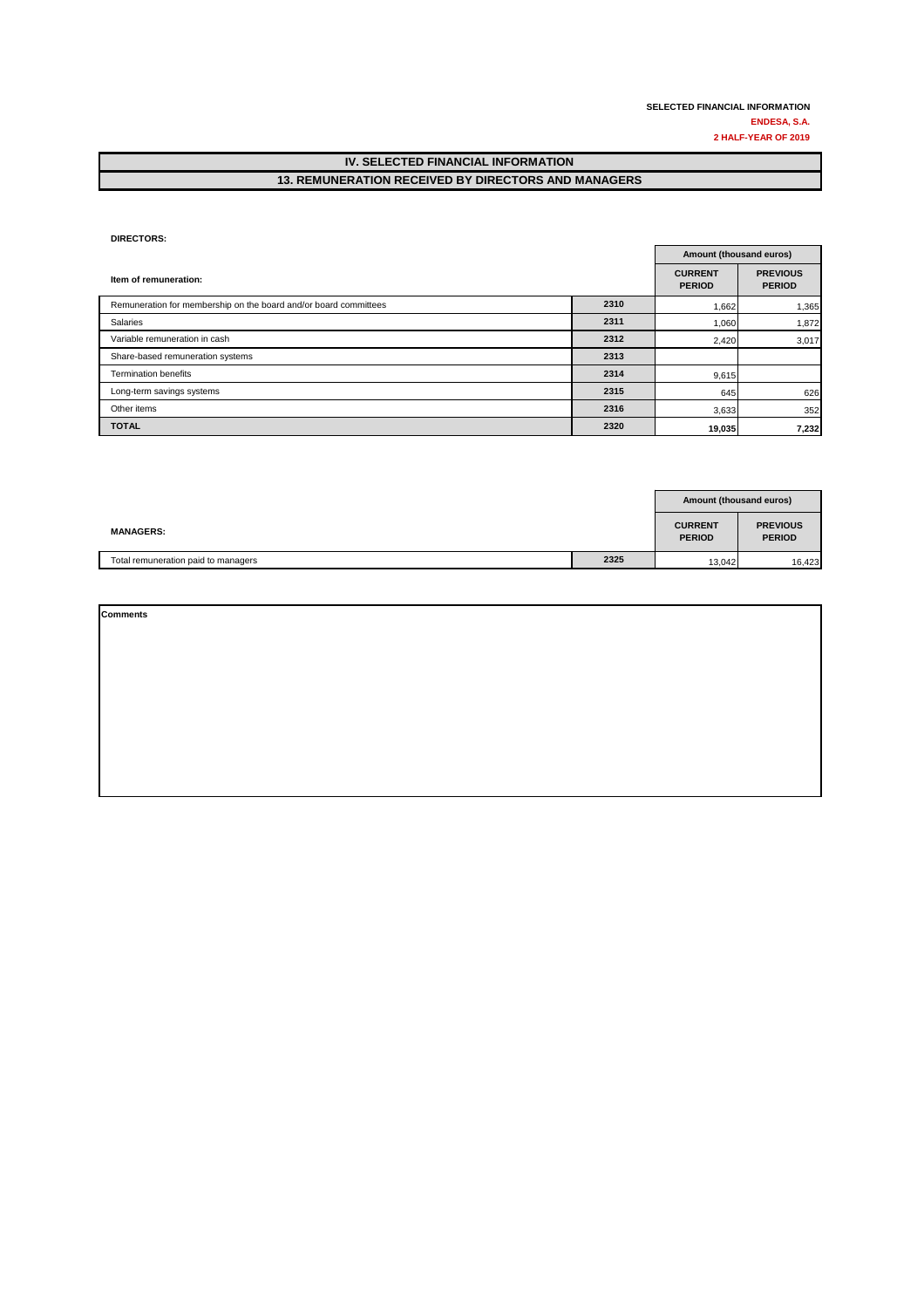0

#### **IV. SELECTED FINANCIAL INFORMATION 13. REMUNERATION RECEIVED BY DIRECTORS AND MANAGERS**

#### **DIRECTORS:** 0 0

|                                                                  |      |                                 | Amount (thousand euros)          |  |  |
|------------------------------------------------------------------|------|---------------------------------|----------------------------------|--|--|
| Item of remuneration:                                            |      | <b>CURRENT</b><br><b>PERIOD</b> | <b>PREVIOUS</b><br><b>PERIOD</b> |  |  |
| Remuneration for membership on the board and/or board committees | 2310 | 1,662                           | 1,365                            |  |  |
| Salaries                                                         | 2311 | 1,060                           | 1,872                            |  |  |
| Variable remuneration in cash                                    | 2312 | 2,420                           | 3,017                            |  |  |
| Share-based remuneration systems                                 | 2313 |                                 |                                  |  |  |
| <b>Termination benefits</b>                                      | 2314 | 9,615                           |                                  |  |  |
| Long-term savings systems                                        | 2315 | 645                             | 626                              |  |  |
| Other items                                                      | 2316 | 3,633                           | 352                              |  |  |
| <b>TOTAL</b>                                                     | 2320 | 19,035                          | 7,232                            |  |  |

|                                     |      | <b>Amount (thousand euros)</b>  |                                  |
|-------------------------------------|------|---------------------------------|----------------------------------|
| <b>MANAGERS:</b>                    |      | <b>CURRENT</b><br><b>PERIOD</b> | <b>PREVIOUS</b><br><b>PERIOD</b> |
| Total remuneration paid to managers | 2325 | 13,042                          | 16,423                           |

| <b>Comments</b> |  |  |
|-----------------|--|--|
|                 |  |  |
|                 |  |  |
|                 |  |  |
|                 |  |  |
|                 |  |  |
|                 |  |  |
|                 |  |  |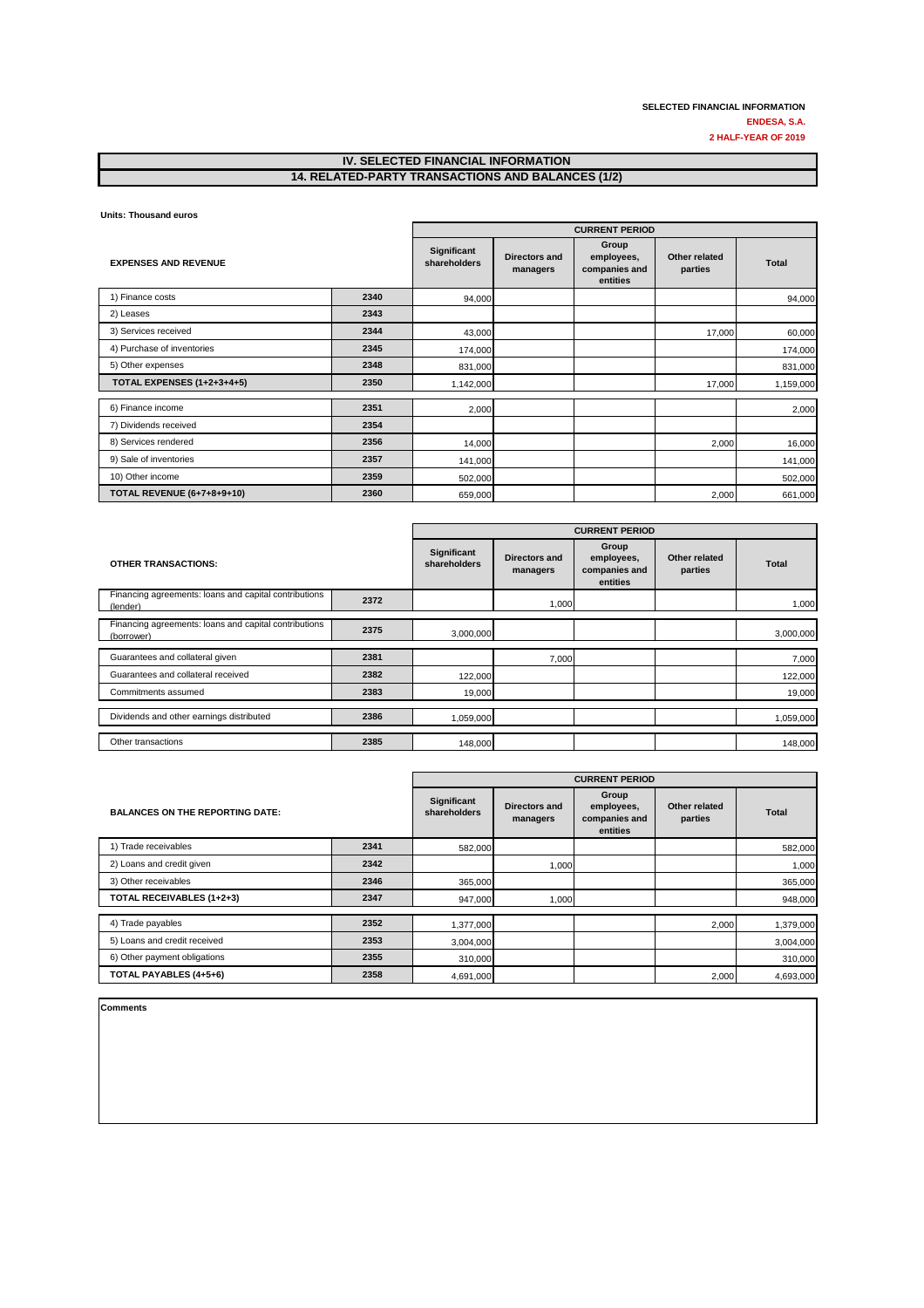#### **IV. SELECTED FINANCIAL INFORMATION 14. RELATED-PARTY TRANSACTIONS AND BALANCES (1/2)**

**Units: Thousand euros** 

|                                   |      | <b>CURRENT PERIOD</b>       |                           |                                                  |                          |              |
|-----------------------------------|------|-----------------------------|---------------------------|--------------------------------------------------|--------------------------|--------------|
| <b>EXPENSES AND REVENUE</b>       |      | Significant<br>shareholders | Directors and<br>managers | Group<br>employees,<br>companies and<br>entities | Other related<br>parties | <b>Total</b> |
| 1) Finance costs                  | 2340 | 94,000                      |                           |                                                  |                          | 94,000       |
| 2) Leases                         | 2343 |                             |                           |                                                  |                          |              |
| 3) Services received              | 2344 | 43,000                      |                           |                                                  | 17,000                   | 60,000       |
| 4) Purchase of inventories        | 2345 | 174,000                     |                           |                                                  |                          | 174,000      |
| 5) Other expenses                 | 2348 | 831,000                     |                           |                                                  |                          | 831,000      |
| <b>TOTAL EXPENSES (1+2+3+4+5)</b> | 2350 | 1,142,000                   |                           |                                                  | 17,000                   | 1,159,000    |
| 6) Finance income                 | 2351 | 2,000                       |                           |                                                  |                          | 2,000        |
| 7) Dividends received             | 2354 |                             |                           |                                                  |                          |              |
| 8) Services rendered              | 2356 | 14,000                      |                           |                                                  | 2,000                    | 16,000       |
| 9) Sale of inventories            | 2357 | 141,000                     |                           |                                                  |                          | 141,000      |
| 10) Other income                  | 2359 | 502,000                     |                           |                                                  |                          | 502,000      |
| <b>TOTAL REVENUE (6+7+8+9+10)</b> | 2360 | 659,000                     |                           |                                                  | 2,000                    | 661,000      |

|                                                                     |      | <b>CURRENT PERIOD</b>              |                           |                                                  |                          |              |
|---------------------------------------------------------------------|------|------------------------------------|---------------------------|--------------------------------------------------|--------------------------|--------------|
| <b>OTHER TRANSACTIONS:</b>                                          |      | <b>Significant</b><br>shareholders | Directors and<br>managers | Group<br>employees,<br>companies and<br>entities | Other related<br>parties | <b>Total</b> |
| Financing agreements: loans and capital contributions<br>(lender)   | 2372 |                                    | 1,000                     |                                                  |                          | 1,000        |
| Financing agreements: loans and capital contributions<br>(borrower) | 2375 | 3,000,000                          |                           |                                                  |                          | 3,000,000    |
| Guarantees and collateral given                                     | 2381 |                                    | 7,000                     |                                                  |                          | 7,000        |
| Guarantees and collateral received                                  | 2382 | 122,000                            |                           |                                                  |                          | 122,000      |
| Commitments assumed                                                 | 2383 | 19,000                             |                           |                                                  |                          | 19,000       |
| Dividends and other earnings distributed                            | 2386 | 1,059,000                          |                           |                                                  |                          | 1,059,000    |
| Other transactions                                                  | 2385 | 148,000                            |                           |                                                  |                          | 148,000      |

|                                        |      | <b>CURRENT PERIOD</b>       |                           |                                                  |                          |              |
|----------------------------------------|------|-----------------------------|---------------------------|--------------------------------------------------|--------------------------|--------------|
| <b>BALANCES ON THE REPORTING DATE:</b> |      | Significant<br>shareholders | Directors and<br>managers | Group<br>employees,<br>companies and<br>entities | Other related<br>parties | <b>Total</b> |
| 1) Trade receivables                   | 2341 | 582,000                     |                           |                                                  |                          | 582,000      |
| 2) Loans and credit given              | 2342 |                             | 1,000                     |                                                  |                          | 1,000        |
| 3) Other receivables                   | 2346 | 365,000                     |                           |                                                  |                          | 365,000      |
| TOTAL RECEIVABLES (1+2+3)              | 2347 | 947,000                     | 1,000                     |                                                  |                          | 948,000      |
|                                        |      |                             |                           |                                                  |                          |              |
| 4) Trade payables                      | 2352 | 1,377,000                   |                           |                                                  | 2,000                    | 1,379,000    |
| 5) Loans and credit received           | 2353 | 3,004,000                   |                           |                                                  |                          | 3,004,000    |
| 6) Other payment obligations           | 2355 | 310,000                     |                           |                                                  |                          | 310,000      |
| TOTAL PAYABLES (4+5+6)                 | 2358 | 4,691,000                   |                           |                                                  | 2,000                    | 4,693,000    |